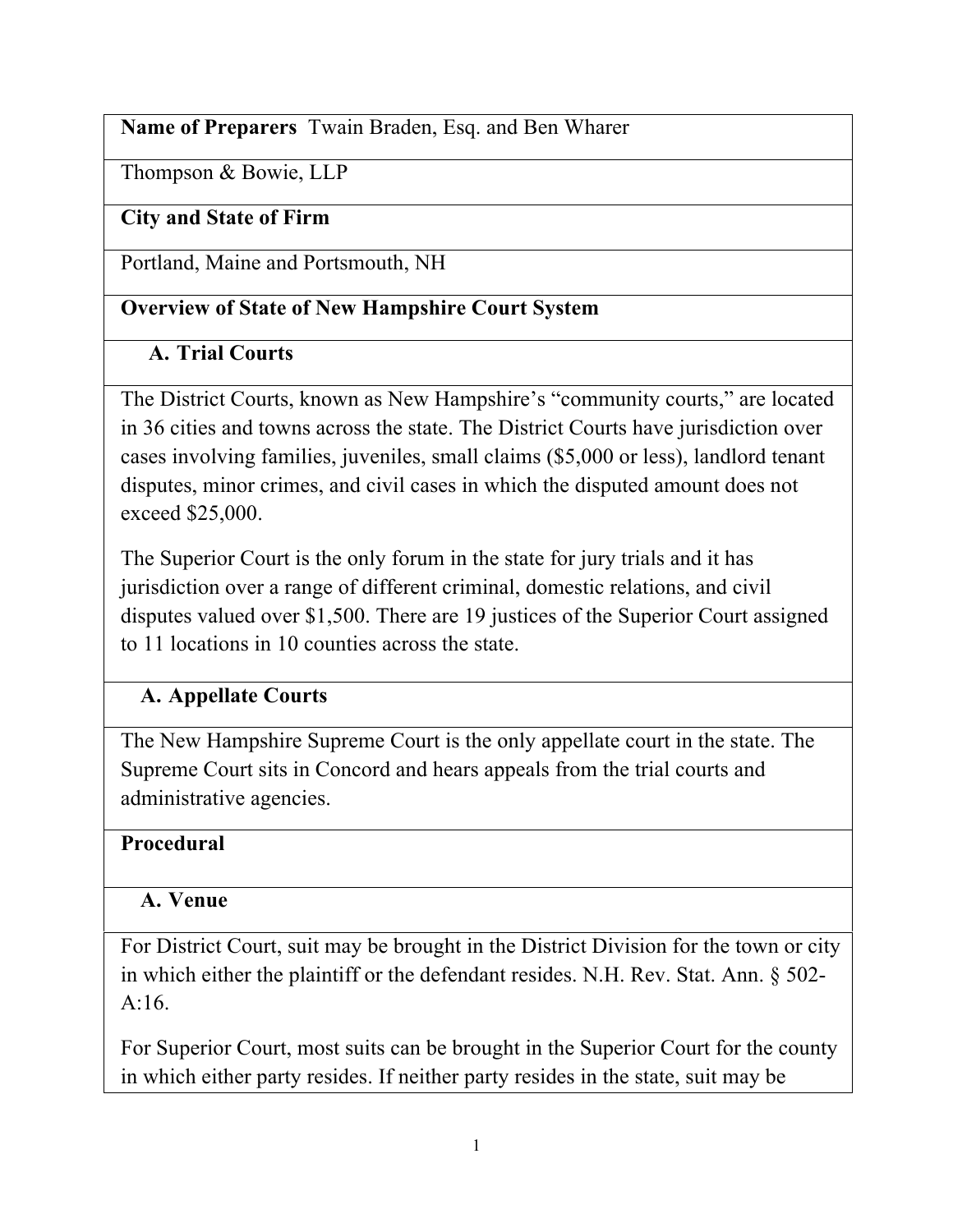## **Name of Preparers** Twain Braden, Esq. and Ben Wharer

Thompson & Bowie, LLP

## **City and State of Firm**

Portland, Maine and Portsmouth, NH

## **Overview of State of New Hampshire Court System**

## **A. Trial Courts**

The District Courts, known as New Hampshire's "community courts," are located in 36 cities and towns across the state. The District Courts have jurisdiction over cases involving families, juveniles, small claims (\$5,000 or less), landlord tenant disputes, minor crimes, and civil cases in which the disputed amount does not exceed \$25,000.

The Superior Court is the only forum in the state for jury trials and it has jurisdiction over a range of different criminal, domestic relations, and civil disputes valued over \$1,500. There are 19 justices of the Superior Court assigned to 11 locations in 10 counties across the state.

## **A. Appellate Courts**

The New Hampshire Supreme Court is the only appellate court in the state. The Supreme Court sits in Concord and hears appeals from the trial courts and administrative agencies.

## **Procedural**

## **A. Venue**

For District Court, suit may be brought in the District Division for the town or city in which either the plaintiff or the defendant resides. N.H. Rev. Stat. Ann. § 502- A:16.

For Superior Court, most suits can be brought in the Superior Court for the county in which either party resides. If neither party resides in the state, suit may be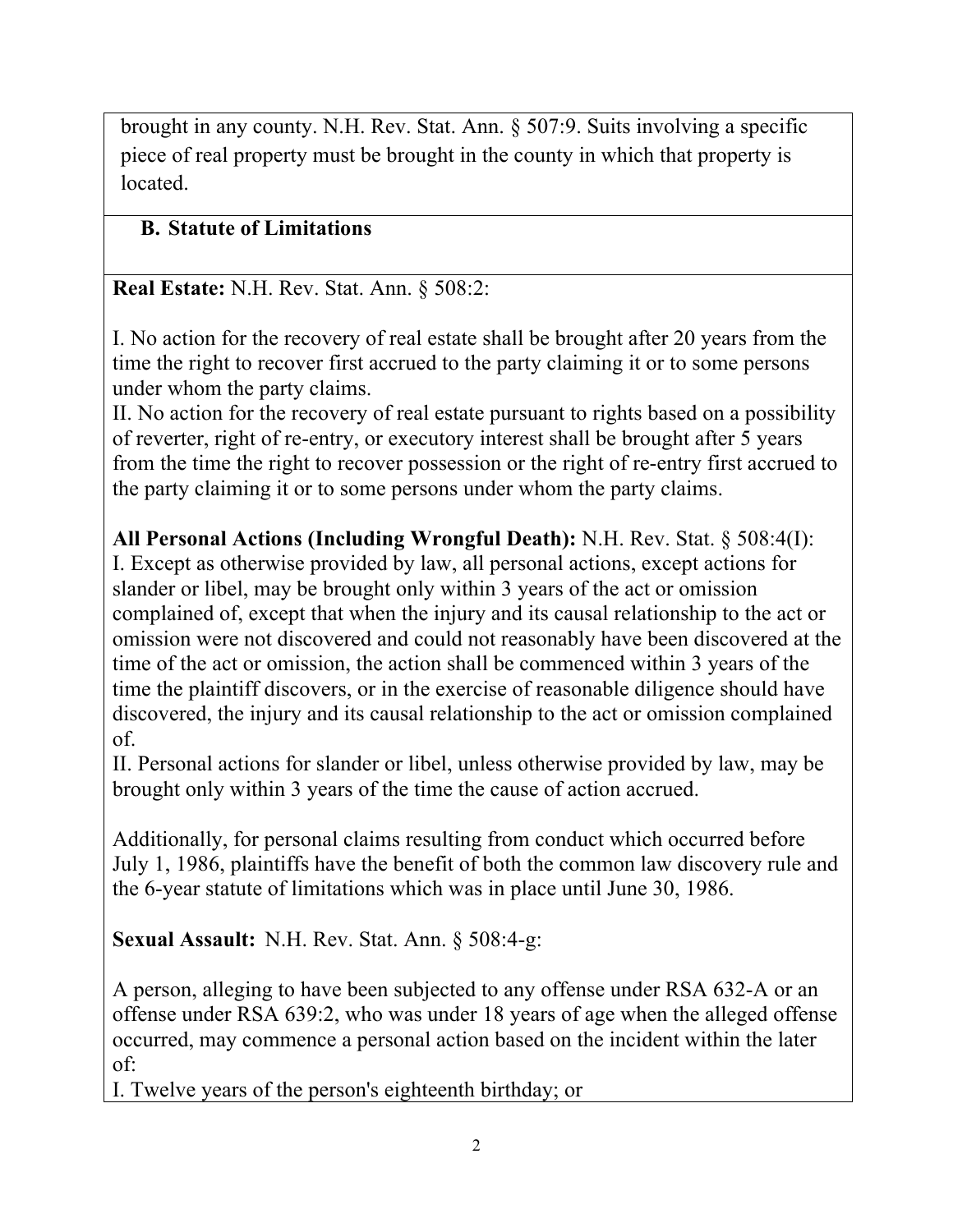brought in any county. N.H. Rev. Stat. Ann. § 507:9. Suits involving a specific piece of real property must be brought in the county in which that property is located.

# **B. Statute of Limitations**

**Real Estate:** N.H. Rev. Stat. Ann. § 508:2:

I. No action for the recovery of real estate shall be brought after 20 years from the time the right to recover first accrued to the party claiming it or to some persons under whom the party claims.

II. No action for the recovery of real estate pursuant to rights based on a possibility of reverter, right of re-entry, or executory interest shall be brought after 5 years from the time the right to recover possession or the right of re-entry first accrued to the party claiming it or to some persons under whom the party claims.

**All Personal Actions (Including Wrongful Death):** N.H. Rev. Stat. § 508:4(I): I. Except as otherwise provided by law, all personal actions, except actions for slander or libel, may be brought only within 3 years of the act or omission complained of, except that when the injury and its causal relationship to the act or omission were not discovered and could not reasonably have been discovered at the time of the act or omission, the action shall be commenced within 3 years of the time the plaintiff discovers, or in the exercise of reasonable diligence should have discovered, the injury and its causal relationship to the act or omission complained of.

II. Personal actions for slander or libel, unless otherwise provided by law, may be brought only within 3 years of the time the cause of action accrued.

Additionally, for personal claims resulting from conduct which occurred before July 1, 1986, plaintiffs have the benefit of both the common law discovery rule and the 6-year statute of limitations which was in place until June 30, 1986.

**Sexual Assault:** N.H. Rev. Stat. Ann. § 508:4-g:

A person, alleging to have been subjected to any offense under RSA 632-A or an offense under RSA 639:2, who was under 18 years of age when the alleged offense occurred, may commence a personal action based on the incident within the later of:

I. Twelve years of the person's eighteenth birthday; or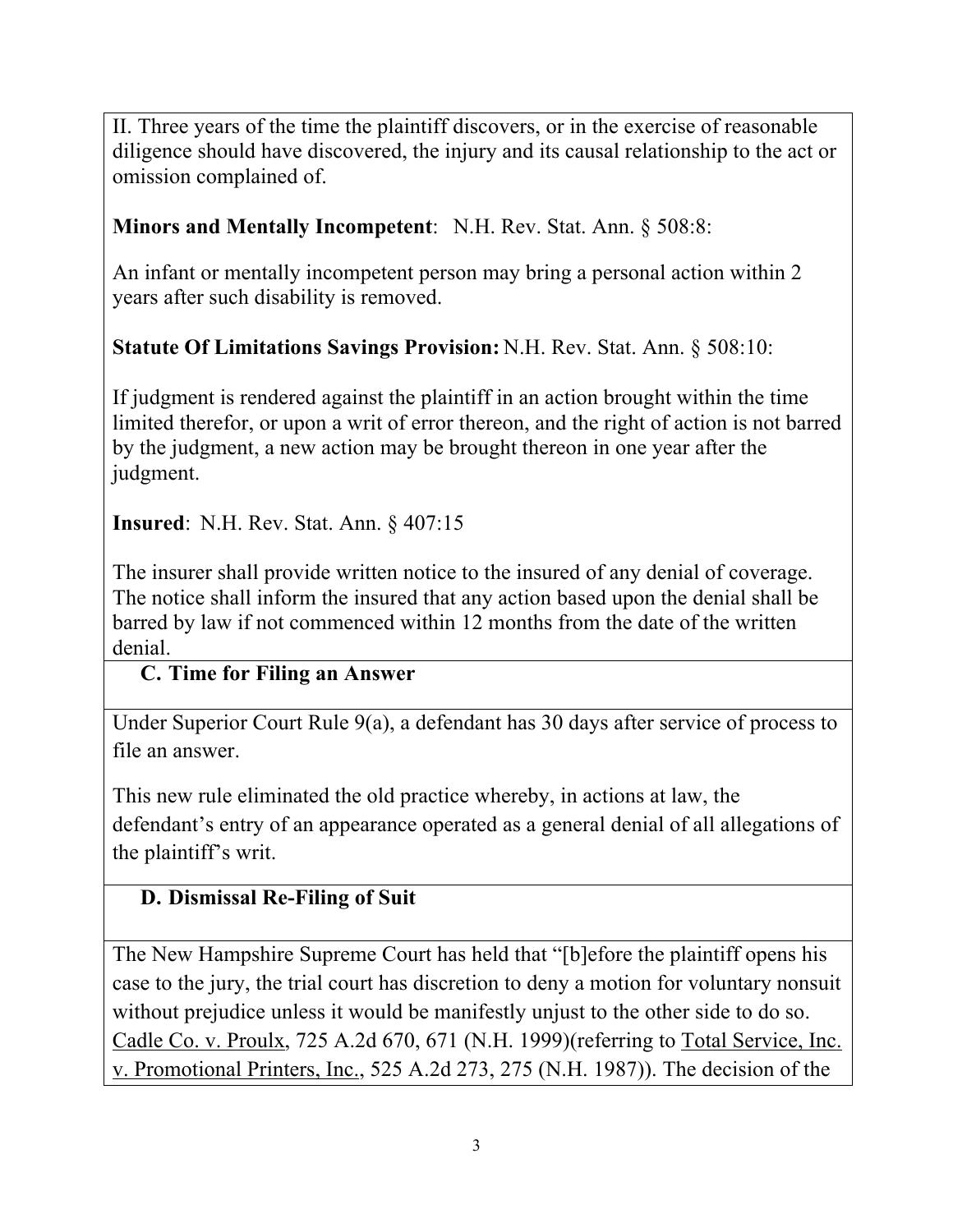II. Three years of the time the plaintiff discovers, or in the exercise of reasonable diligence should have discovered, the injury and its causal relationship to the act or omission complained of.

## **Minors and Mentally Incompetent**: N.H. Rev. Stat. Ann. § 508:8:

An infant or mentally incompetent person may bring a personal action within 2 years after such disability is removed.

### **Statute Of Limitations Savings Provision:** N.H. Rev. Stat. Ann. § 508:10:

If judgment is rendered against the plaintiff in an action brought within the time limited therefor, or upon a writ of error thereon, and the right of action is not barred by the judgment, a new action may be brought thereon in one year after the judgment.

**Insured**: N.H. Rev. Stat. Ann. § 407:15

The insurer shall provide written notice to the insured of any denial of coverage. The notice shall inform the insured that any action based upon the denial shall be barred by law if not commenced within 12 months from the date of the written denial.

#### **C. Time for Filing an Answer**

Under Superior Court Rule 9(a), a defendant has 30 days after service of process to file an answer.

This new rule eliminated the old practice whereby, in actions at law, the defendant's entry of an appearance operated as a general denial of all allegations of the plaintiff's writ.

### **D. Dismissal Re-Filing of Suit**

The New Hampshire Supreme Court has held that "[b]efore the plaintiff opens his case to the jury, the trial court has discretion to deny a motion for voluntary nonsuit without prejudice unless it would be manifestly unjust to the other side to do so. Cadle Co. v. Proulx, 725 A.2d 670, 671 (N.H. 1999)(referring to Total Service, Inc. v. Promotional Printers, Inc., 525 A.2d 273, 275 (N.H. 1987)). The decision of the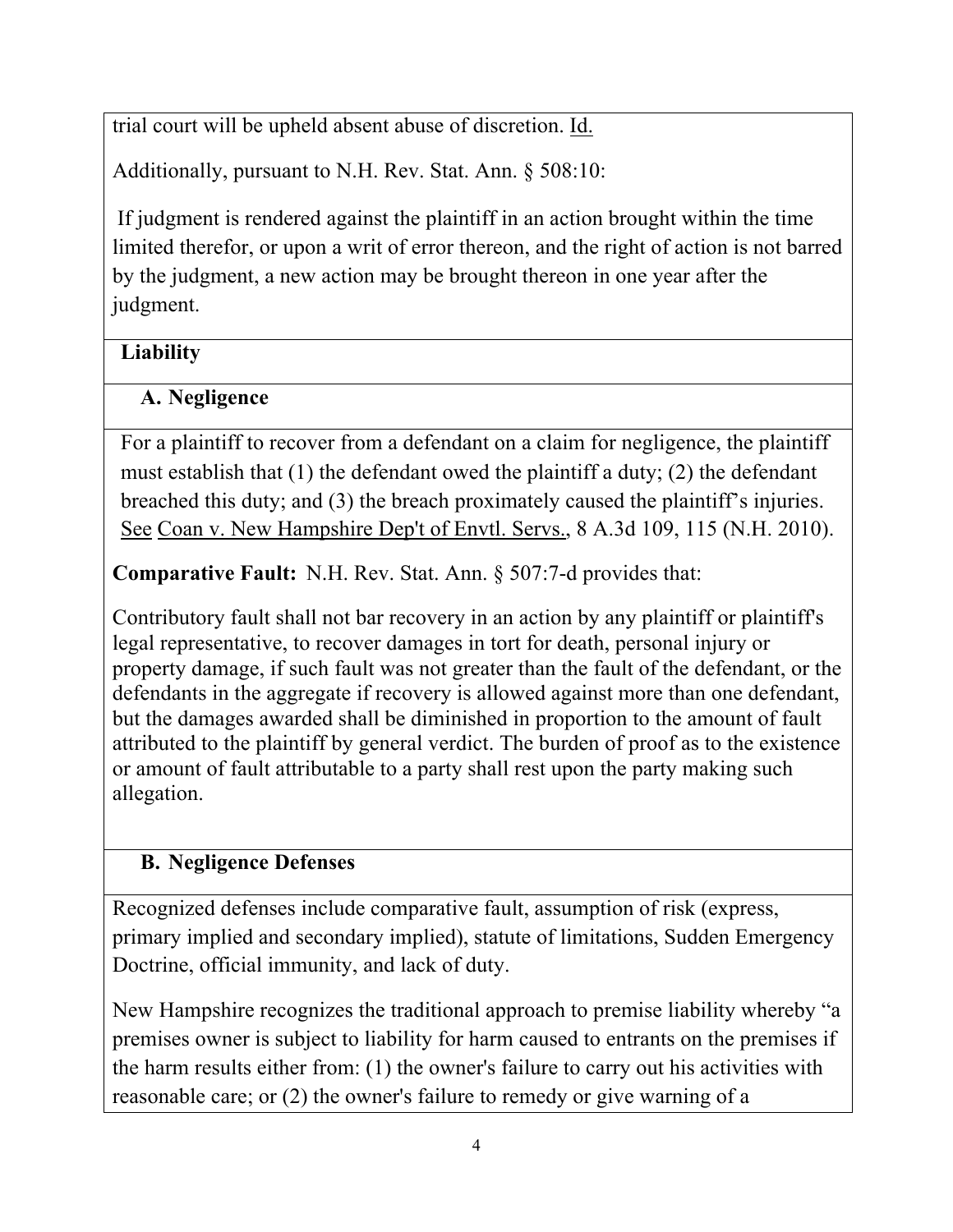trial court will be upheld absent abuse of discretion. Id.

Additionally, pursuant to N.H. Rev. Stat. Ann. § 508:10:

If judgment is rendered against the plaintiff in an action brought within the time limited therefor, or upon a writ of error thereon, and the right of action is not barred by the judgment, a new action may be brought thereon in one year after the judgment.

# **Liability**

# **A. Negligence**

For a plaintiff to recover from a defendant on a claim for negligence, the plaintiff must establish that (1) the defendant owed the plaintiff a duty; (2) the defendant breached this duty; and (3) the breach proximately caused the plaintiff's injuries. See Coan v. New Hampshire Dep't of Envtl. Servs., 8 A.3d 109, 115 (N.H. 2010).

**Comparative Fault:** N.H. Rev. Stat. Ann. § 507:7-d provides that:

Contributory fault shall not bar recovery in an action by any plaintiff or plaintiff's legal representative, to recover damages in tort for death, personal injury or property damage, if such fault was not greater than the fault of the defendant, or the defendants in the aggregate if recovery is allowed against more than one defendant, but the damages awarded shall be diminished in proportion to the amount of fault attributed to the plaintiff by general verdict. The burden of proof as to the existence or amount of fault attributable to a party shall rest upon the party making such allegation.

# **B. Negligence Defenses**

Recognized defenses include comparative fault, assumption of risk (express, primary implied and secondary implied), statute of limitations, Sudden Emergency Doctrine, official immunity, and lack of duty.

New Hampshire recognizes the traditional approach to premise liability whereby "a premises owner is subject to liability for harm caused to entrants on the premises if the harm results either from: (1) the owner's failure to carry out his activities with reasonable care; or (2) the owner's failure to remedy or give warning of a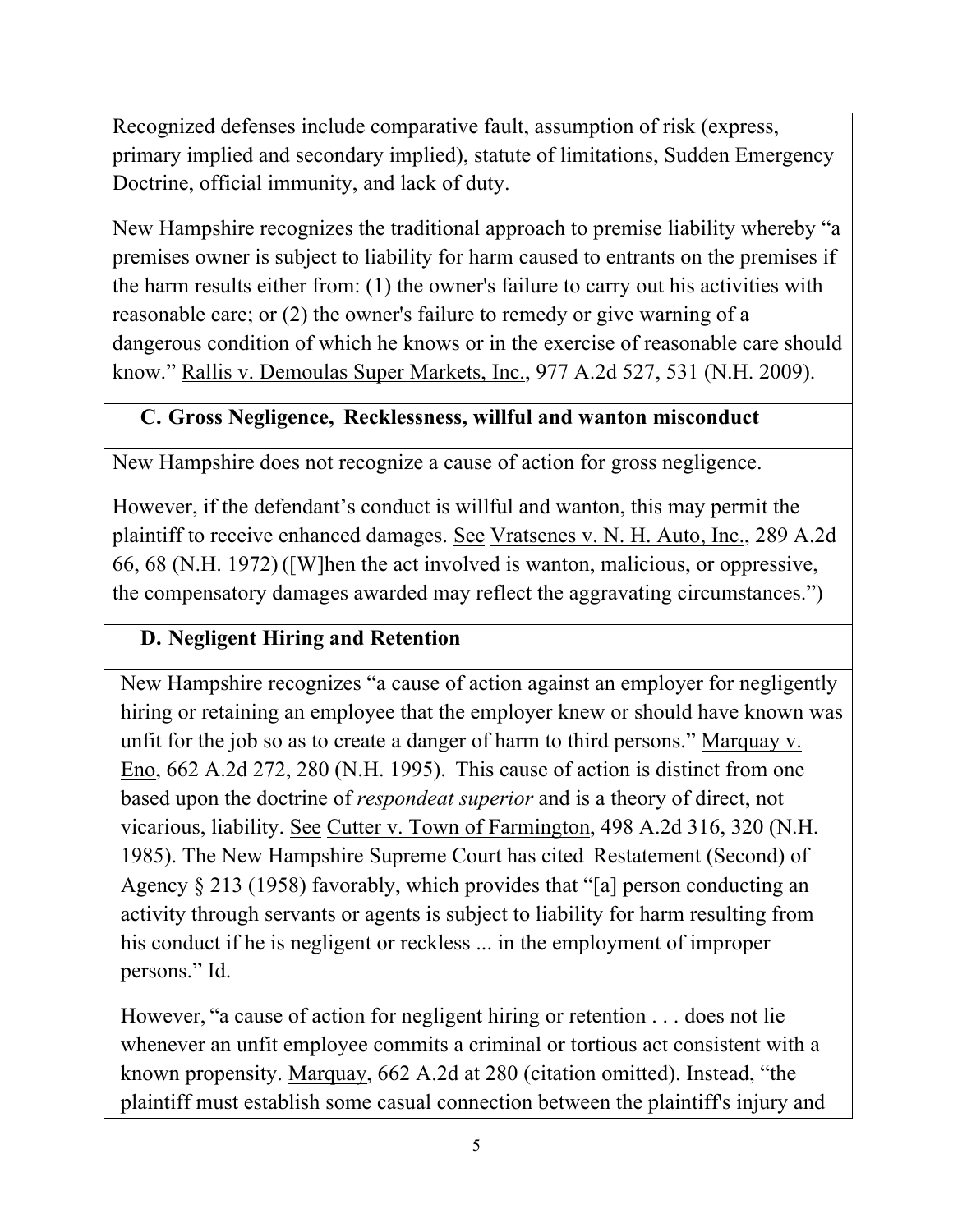Recognized defenses include comparative fault, assumption of risk (express, primary implied and secondary implied), statute of limitations, Sudden Emergency Doctrine, official immunity, and lack of duty.

New Hampshire recognizes the traditional approach to premise liability whereby "a premises owner is subject to liability for harm caused to entrants on the premises if the harm results either from: (1) the owner's failure to carry out his activities with reasonable care; or (2) the owner's failure to remedy or give warning of a dangerous condition of which he knows or in the exercise of reasonable care should know." Rallis v. Demoulas Super Markets, Inc., 977 A.2d 527, 531 (N.H. 2009).

## **C. Gross Negligence, Recklessness, willful and wanton misconduct**

New Hampshire does not recognize a cause of action for gross negligence.

However, if the defendant's conduct is willful and wanton, this may permit the plaintiff to receive enhanced damages. See Vratsenes v. N. H. Auto, Inc., 289 A.2d 66, 68 (N.H. 1972) ([W]hen the act involved is wanton, malicious, or oppressive, the compensatory damages awarded may reflect the aggravating circumstances.")

## **D. Negligent Hiring and Retention**

New Hampshire recognizes "a cause of action against an employer for negligently hiring or retaining an employee that the employer knew or should have known was unfit for the job so as to create a danger of harm to third persons." Marquay v. Eno, 662 A.2d 272, 280 (N.H. 1995). This cause of action is distinct from one based upon the doctrine of *respondeat superior* and is a theory of direct, not vicarious, liability. See Cutter v. Town of Farmington, 498 A.2d 316, 320 (N.H. 1985). The New Hampshire Supreme Court has cited Restatement (Second) of Agency § 213 (1958) favorably, which provides that "[a] person conducting an activity through servants or agents is subject to liability for harm resulting from his conduct if he is negligent or reckless ... in the employment of improper persons." Id.

However, "a cause of action for negligent hiring or retention . . . does not lie whenever an unfit employee commits a criminal or tortious act consistent with a known propensity. Marquay, 662 A.2d at 280 (citation omitted). Instead, "the plaintiff must establish some casual connection between the plaintiff's injury and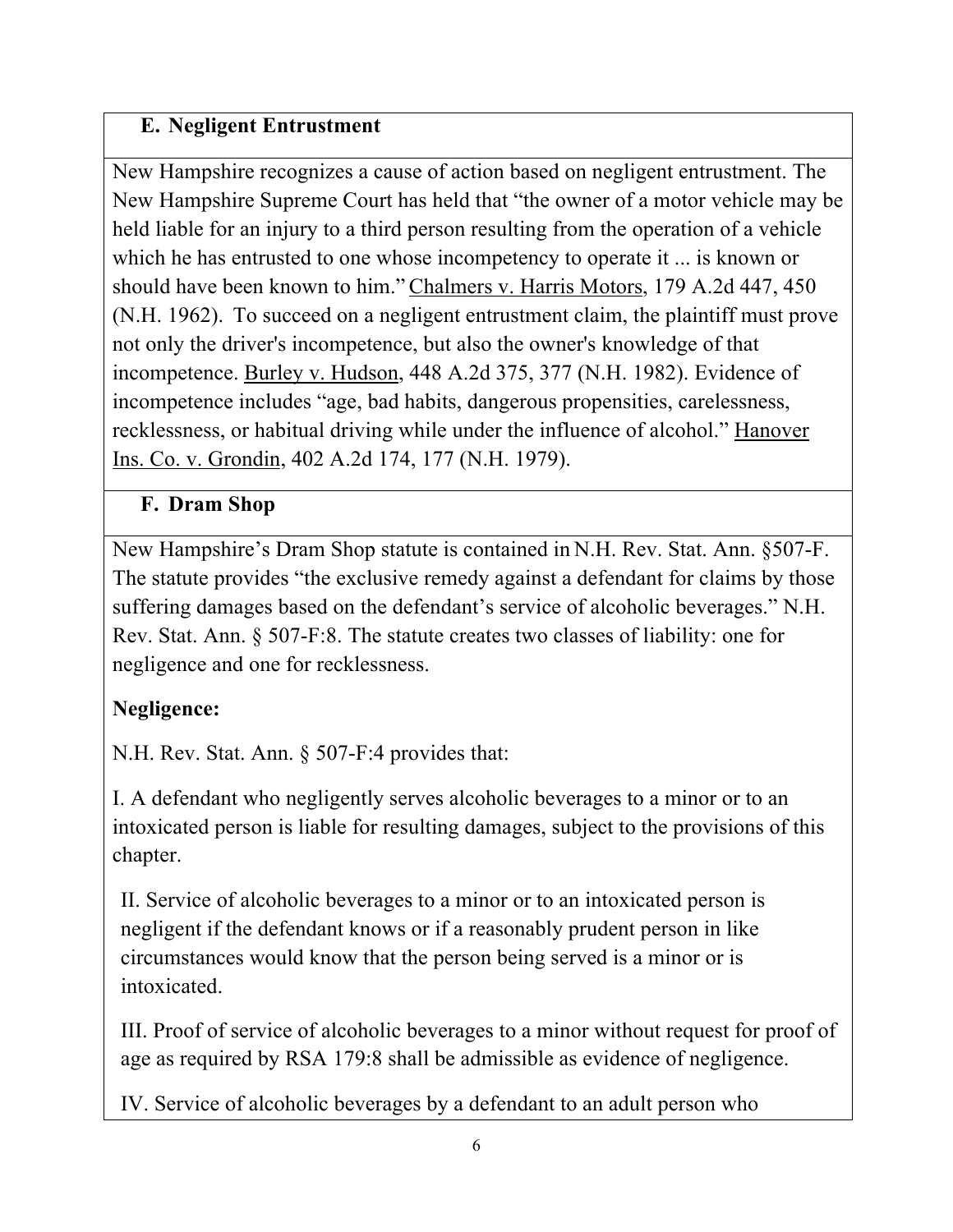## **E. Negligent Entrustment**

New Hampshire recognizes a cause of action based on negligent entrustment. The New Hampshire Supreme Court has held that "the owner of a motor vehicle may be held liable for an injury to a third person resulting from the operation of a vehicle which he has entrusted to one whose incompetency to operate it ... is known or should have been known to him." Chalmers v. Harris Motors, 179 A.2d 447, 450 (N.H. 1962). To succeed on a negligent entrustment claim, the plaintiff must prove not only the driver's incompetence, but also the owner's knowledge of that incompetence. Burley v. Hudson, 448 A.2d 375, 377 (N.H. 1982). Evidence of incompetence includes "age, bad habits, dangerous propensities, carelessness, recklessness, or habitual driving while under the influence of alcohol." Hanover Ins. Co. v. Grondin, 402 A.2d 174, 177 (N.H. 1979).

## **F. Dram Shop**

New Hampshire's Dram Shop statute is contained in N.H. Rev. Stat. Ann. §507-F. The statute provides "the exclusive remedy against a defendant for claims by those suffering damages based on the defendant's service of alcoholic beverages." N.H. Rev. Stat. Ann. § 507-F:8. The statute creates two classes of liability: one for negligence and one for recklessness.

# **Negligence:**

N.H. Rev. Stat. Ann. § 507-F:4 provides that:

I. A defendant who negligently serves alcoholic beverages to a minor or to an intoxicated person is liable for resulting damages, subject to the provisions of this chapter.

II. Service of alcoholic beverages to a minor or to an intoxicated person is negligent if the defendant knows or if a reasonably prudent person in like circumstances would know that the person being served is a minor or is intoxicated.

III. Proof of service of alcoholic beverages to a minor without request for proof of age as required by RSA 179:8 shall be admissible as evidence of negligence.

IV. Service of alcoholic beverages by a defendant to an adult person who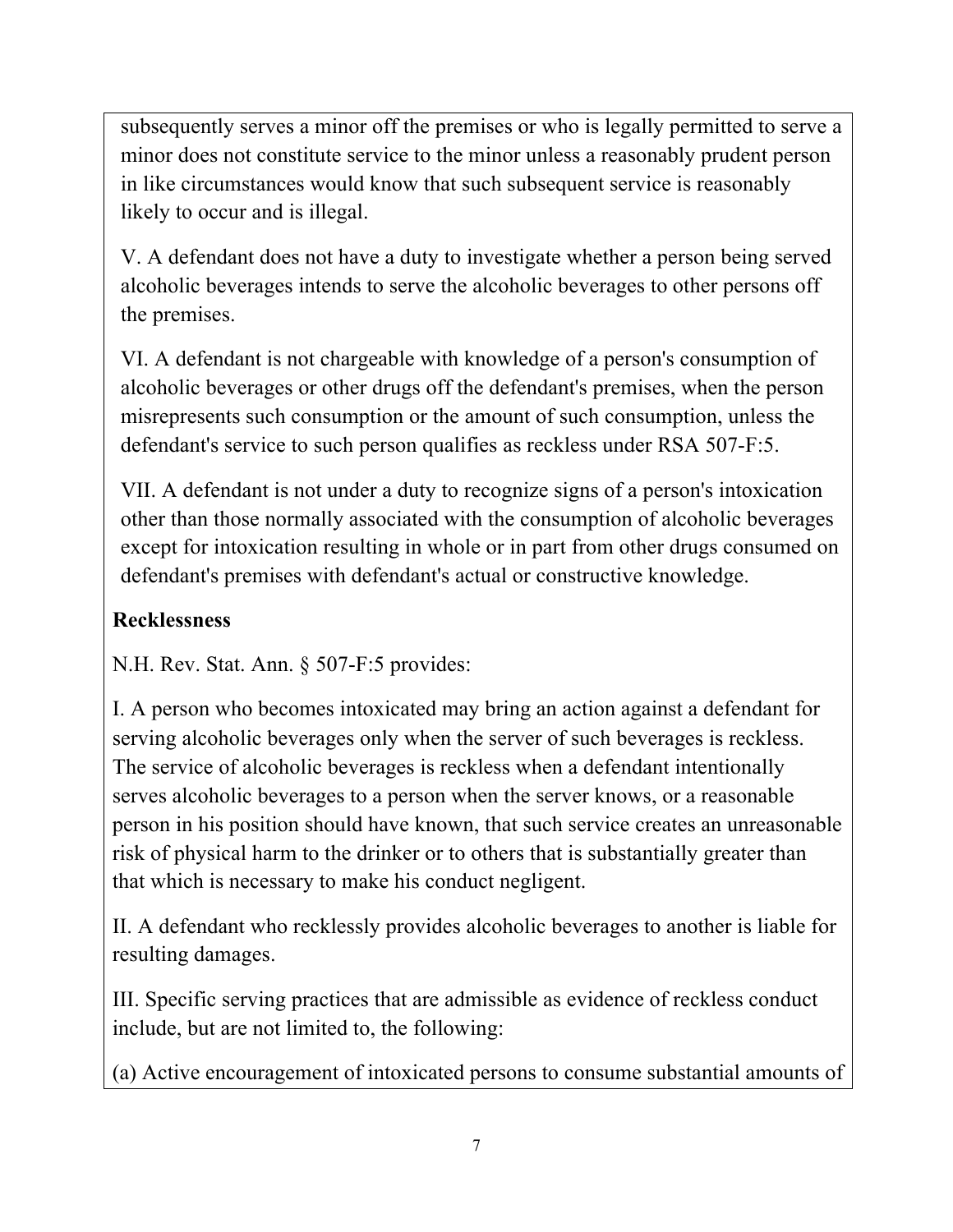subsequently serves a minor off the premises or who is legally permitted to serve a minor does not constitute service to the minor unless a reasonably prudent person in like circumstances would know that such subsequent service is reasonably likely to occur and is illegal.

V. A defendant does not have a duty to investigate whether a person being served alcoholic beverages intends to serve the alcoholic beverages to other persons off the premises.

VI. A defendant is not chargeable with knowledge of a person's consumption of alcoholic beverages or other drugs off the defendant's premises, when the person misrepresents such consumption or the amount of such consumption, unless the defendant's service to such person qualifies as reckless under RSA 507-F:5.

VII. A defendant is not under a duty to recognize signs of a person's intoxication other than those normally associated with the consumption of alcoholic beverages except for intoxication resulting in whole or in part from other drugs consumed on defendant's premises with defendant's actual or constructive knowledge.

# **Recklessness**

N.H. Rev. Stat. Ann. § 507-F:5 provides:

I. A person who becomes intoxicated may bring an action against a defendant for serving alcoholic beverages only when the server of such beverages is reckless. The service of alcoholic beverages is reckless when a defendant intentionally serves alcoholic beverages to a person when the server knows, or a reasonable person in his position should have known, that such service creates an unreasonable risk of physical harm to the drinker or to others that is substantially greater than that which is necessary to make his conduct negligent.

II. A defendant who recklessly provides alcoholic beverages to another is liable for resulting damages.

III. Specific serving practices that are admissible as evidence of reckless conduct include, but are not limited to, the following:

(a) Active encouragement of intoxicated persons to consume substantial amounts of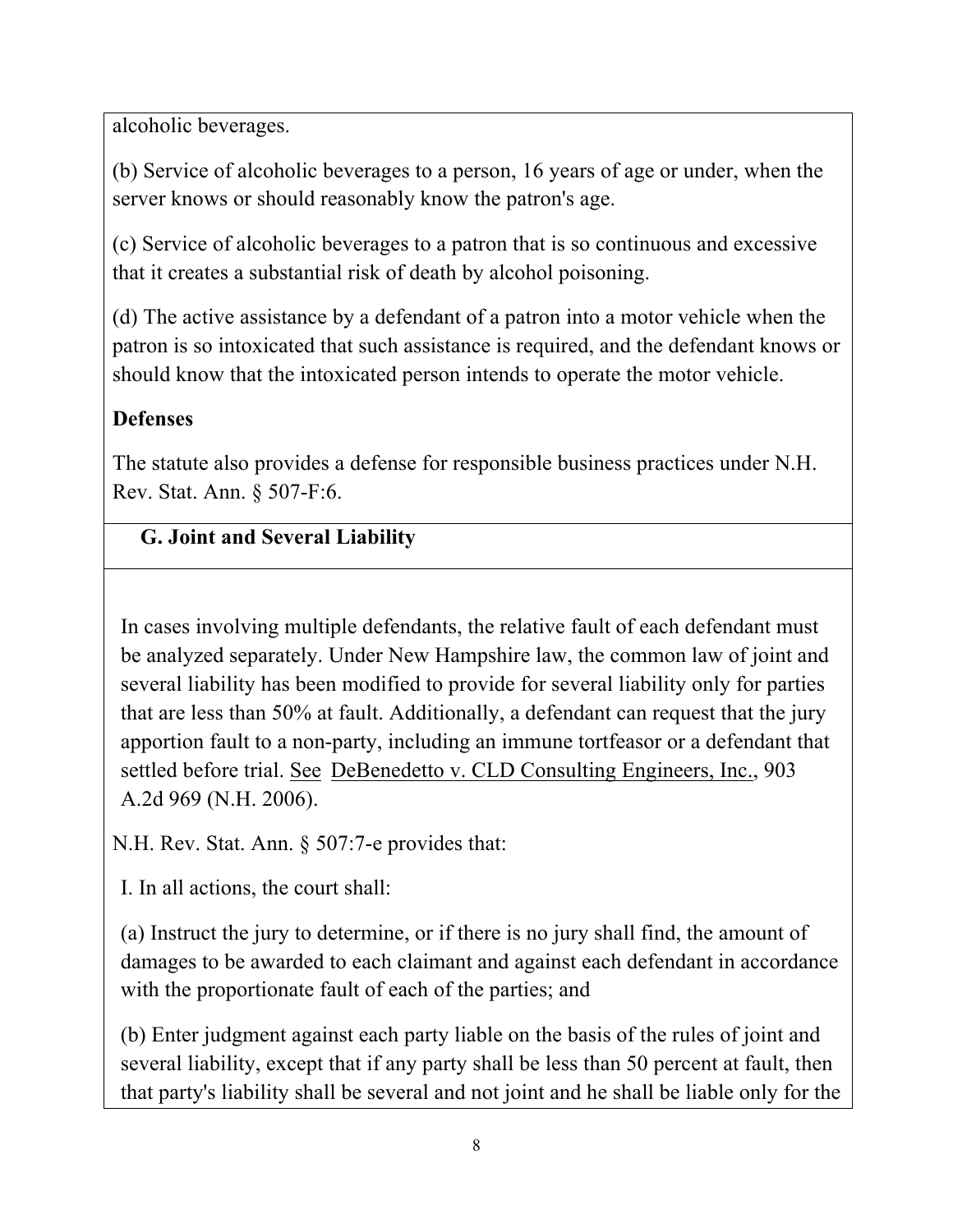alcoholic beverages.

(b) Service of alcoholic beverages to a person, 16 years of age or under, when the server knows or should reasonably know the patron's age.

(c) Service of alcoholic beverages to a patron that is so continuous and excessive that it creates a substantial risk of death by alcohol poisoning.

(d) The active assistance by a defendant of a patron into a motor vehicle when the patron is so intoxicated that such assistance is required, and the defendant knows or should know that the intoxicated person intends to operate the motor vehicle.

## **Defenses**

The statute also provides a defense for responsible business practices under N.H. Rev. Stat. Ann. § 507-F:6.

## **G. Joint and Several Liability**

In cases involving multiple defendants, the relative fault of each defendant must be analyzed separately. Under New Hampshire law, the common law of joint and several liability has been modified to provide for several liability only for parties that are less than 50% at fault. Additionally, a defendant can request that the jury apportion fault to a non-party, including an immune tortfeasor or a defendant that settled before trial. See DeBenedetto v. CLD Consulting Engineers, Inc., 903 A.2d 969 (N.H. 2006).

N.H. Rev. Stat. Ann. § 507:7-e provides that:

I. In all actions, the court shall:

(a) Instruct the jury to determine, or if there is no jury shall find, the amount of damages to be awarded to each claimant and against each defendant in accordance with the proportionate fault of each of the parties; and

(b) Enter judgment against each party liable on the basis of the rules of joint and several liability, except that if any party shall be less than 50 percent at fault, then that party's liability shall be several and not joint and he shall be liable only for the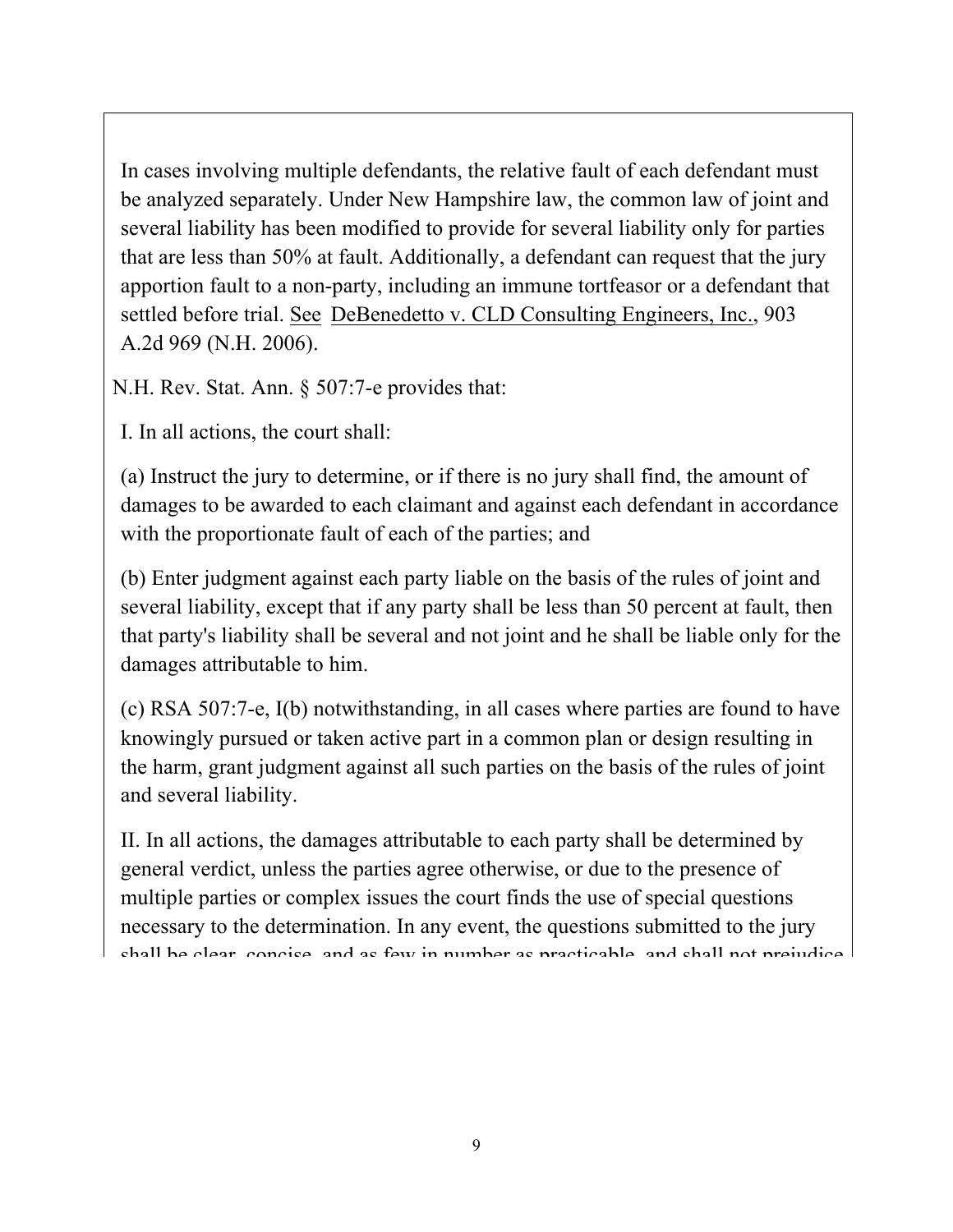In cases involving multiple defendants, the relative fault of each defendant must be analyzed separately. Under New Hampshire law, the common law of joint and several liability has been modified to provide for several liability only for parties that are less than 50% at fault. Additionally, a defendant can request that the jury apportion fault to a non-party, including an immune tortfeasor or a defendant that settled before trial. See DeBenedetto v. CLD Consulting Engineers, Inc., 903 A.2d 969 (N.H. 2006).

N.H. Rev. Stat. Ann. § 507:7-e provides that:

I. In all actions, the court shall:

(a) Instruct the jury to determine, or if there is no jury shall find, the amount of damages to be awarded to each claimant and against each defendant in accordance with the proportionate fault of each of the parties; and

(b) Enter judgment against each party liable on the basis of the rules of joint and several liability, except that if any party shall be less than 50 percent at fault, then that party's liability shall be several and not joint and he shall be liable only for the damages attributable to him.

(c) RSA 507:7-e, I(b) notwithstanding, in all cases where parties are found to have knowingly pursued or taken active part in a common plan or design resulting in the harm, grant judgment against all such parties on the basis of the rules of joint and several liability.

II. In all actions, the damages attributable to each party shall be determined by general verdict, unless the parties agree otherwise, or due to the presence of multiple parties or complex issues the court finds the use of special questions necessary to the determination. In any event, the questions submitted to the jury shall be clear, concise, and as few in number as practicable, and shall not prejudice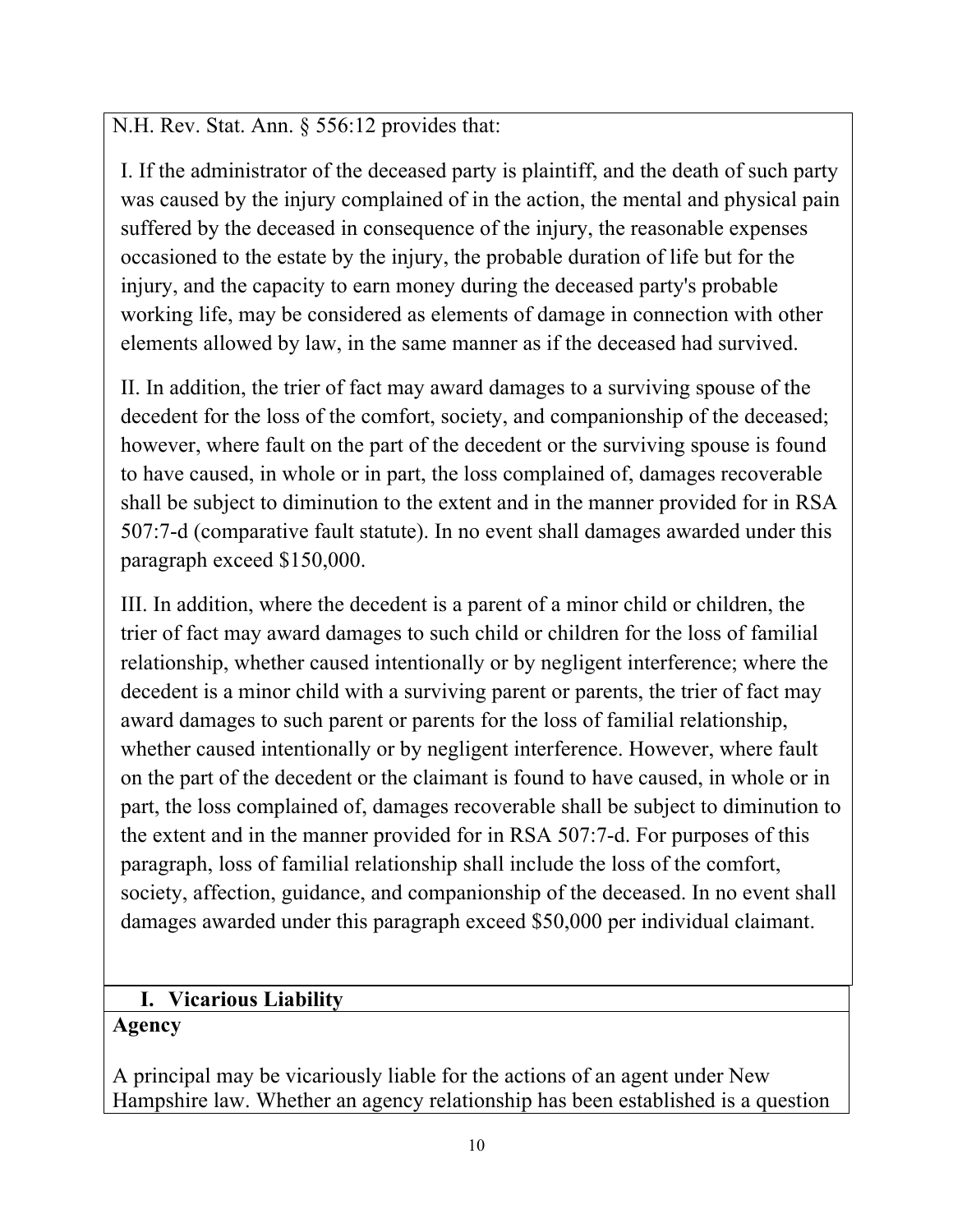N.H. Rev. Stat. Ann. § 556:12 provides that:

I. If the administrator of the deceased party is plaintiff, and the death of such party was caused by the injury complained of in the action, the mental and physical pain suffered by the deceased in consequence of the injury, the reasonable expenses occasioned to the estate by the injury, the probable duration of life but for the injury, and the capacity to earn money during the deceased party's probable working life, may be considered as elements of damage in connection with other elements allowed by law, in the same manner as if the deceased had survived.

II. In addition, the trier of fact may award damages to a surviving spouse of the decedent for the loss of the comfort, society, and companionship of the deceased; however, where fault on the part of the decedent or the surviving spouse is found to have caused, in whole or in part, the loss complained of, damages recoverable shall be subject to diminution to the extent and in the manner provided for in RSA 507:7-d (comparative fault statute). In no event shall damages awarded under this paragraph exceed \$150,000.

III. In addition, where the decedent is a parent of a minor child or children, the trier of fact may award damages to such child or children for the loss of familial relationship, whether caused intentionally or by negligent interference; where the decedent is a minor child with a surviving parent or parents, the trier of fact may award damages to such parent or parents for the loss of familial relationship, whether caused intentionally or by negligent interference. However, where fault on the part of the decedent or the claimant is found to have caused, in whole or in part, the loss complained of, damages recoverable shall be subject to diminution to the extent and in the manner provided for in RSA 507:7-d. For purposes of this paragraph, loss of familial relationship shall include the loss of the comfort, society, affection, guidance, and companionship of the deceased. In no event shall damages awarded under this paragraph exceed \$50,000 per individual claimant.

### **I. Vicarious Liability Agency**

A principal may be vicariously liable for the actions of an agent under New Hampshire law. Whether an agency relationship has been established is a question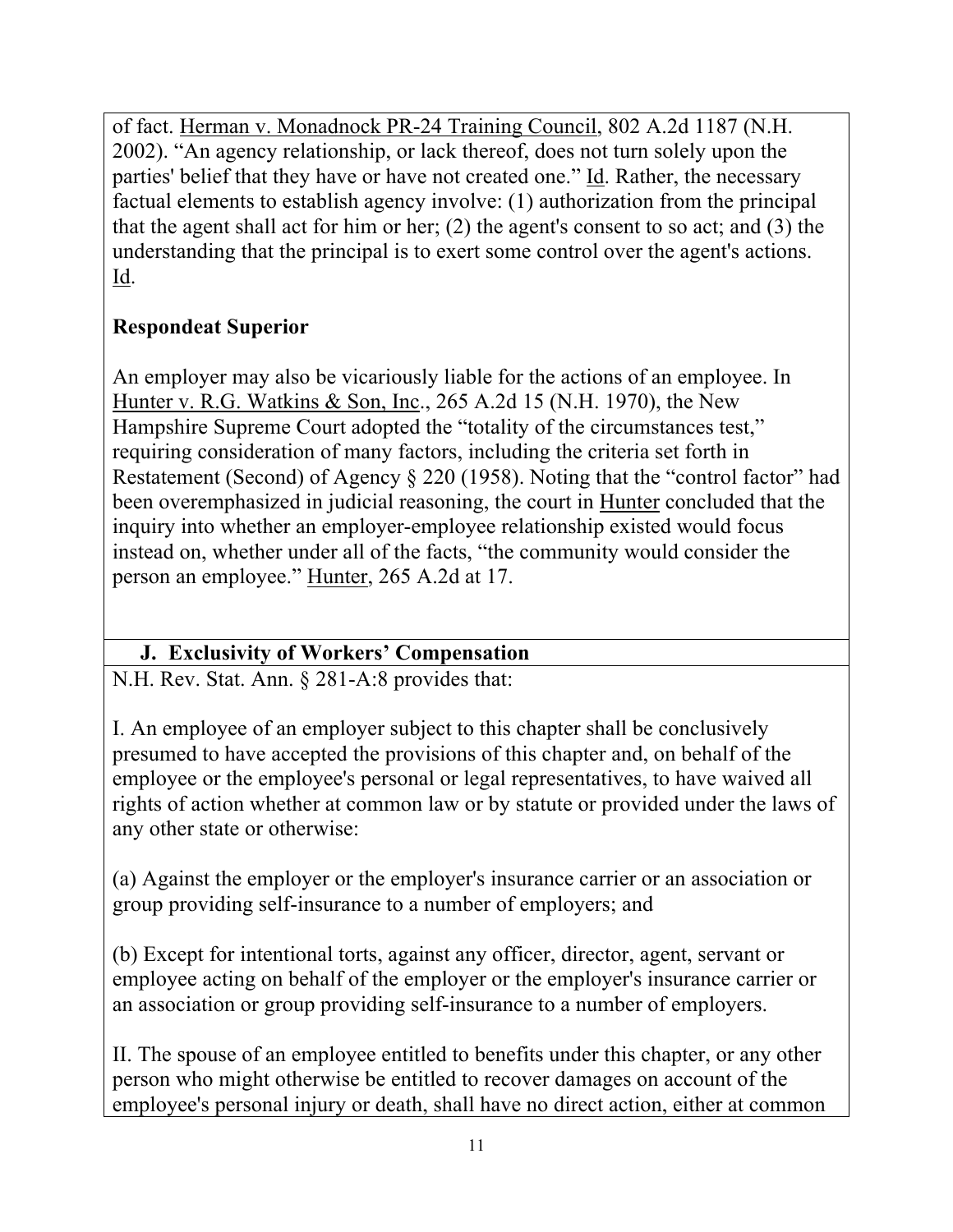of fact. Herman v. Monadnock PR-24 Training Council, 802 A.2d 1187 (N.H. 2002). "An agency relationship, or lack thereof, does not turn solely upon the parties' belief that they have or have not created one." Id. Rather, the necessary factual elements to establish agency involve: (1) authorization from the principal that the agent shall act for him or her; (2) the agent's consent to so act; and (3) the understanding that the principal is to exert some control over the agent's actions. Id.

# **Respondeat Superior**

An employer may also be vicariously liable for the actions of an employee. In Hunter v. R.G. Watkins & Son, Inc., 265 A.2d 15 (N.H. 1970), the New Hampshire Supreme Court adopted the "totality of the circumstances test," requiring consideration of many factors, including the criteria set forth in Restatement (Second) of Agency § 220 (1958). Noting that the "control factor" had been overemphasized in judicial reasoning, the court in Hunter concluded that the inquiry into whether an employer-employee relationship existed would focus instead on, whether under all of the facts, "the community would consider the person an employee." Hunter, 265 A.2d at 17.

# **J. Exclusivity of Workers' Compensation**

N.H. Rev. Stat. Ann. § 281-A:8 provides that:

I. An employee of an employer subject to this chapter shall be conclusively presumed to have accepted the provisions of this chapter and, on behalf of the employee or the employee's personal or legal representatives, to have waived all rights of action whether at common law or by statute or provided under the laws of any other state or otherwise:

(a) Against the employer or the employer's insurance carrier or an association or group providing self-insurance to a number of employers; and

(b) Except for intentional torts, against any officer, director, agent, servant or employee acting on behalf of the employer or the employer's insurance carrier or an association or group providing self-insurance to a number of employers.

II. The spouse of an employee entitled to benefits under this chapter, or any other person who might otherwise be entitled to recover damages on account of the employee's personal injury or death, shall have no direct action, either at common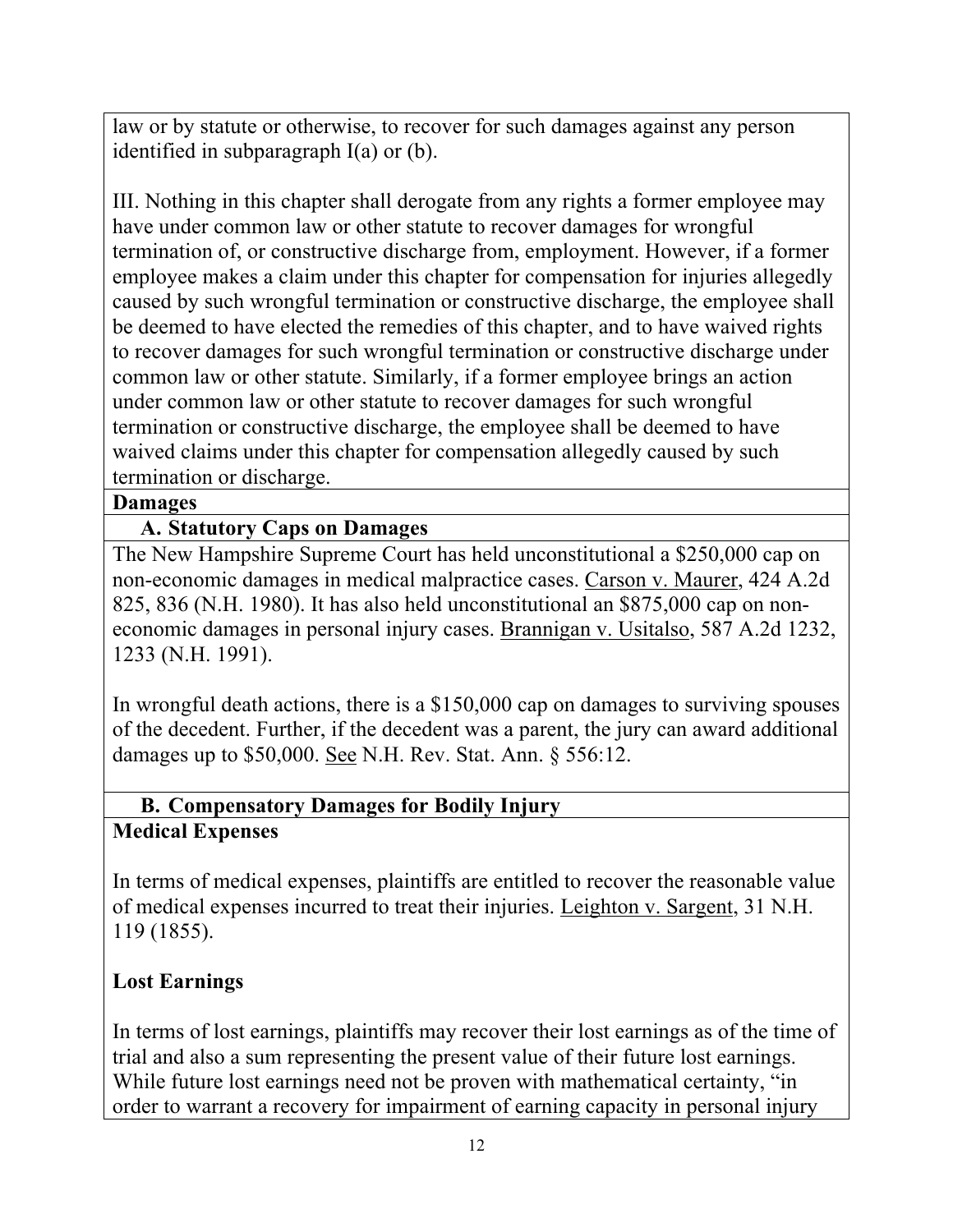law or by statute or otherwise, to recover for such damages against any person identified in subparagraph I(a) or (b).

III. Nothing in this chapter shall derogate from any rights a former employee may have under common law or other statute to recover damages for wrongful termination of, or constructive discharge from, employment. However, if a former employee makes a claim under this chapter for compensation for injuries allegedly caused by such wrongful termination or constructive discharge, the employee shall be deemed to have elected the remedies of this chapter, and to have waived rights to recover damages for such wrongful termination or constructive discharge under common law or other statute. Similarly, if a former employee brings an action under common law or other statute to recover damages for such wrongful termination or constructive discharge, the employee shall be deemed to have waived claims under this chapter for compensation allegedly caused by such termination or discharge.

#### **Damages**

### **A. Statutory Caps on Damages**

The New Hampshire Supreme Court has held unconstitutional a \$250,000 cap on non-economic damages in medical malpractice cases. Carson v. Maurer, 424 A.2d 825, 836 (N.H. 1980). It has also held unconstitutional an \$875,000 cap on noneconomic damages in personal injury cases. Brannigan v. Usitalso, 587 A.2d 1232, 1233 (N.H. 1991).

In wrongful death actions, there is a \$150,000 cap on damages to surviving spouses of the decedent. Further, if the decedent was a parent, the jury can award additional damages up to \$50,000. See N.H. Rev. Stat. Ann. § 556:12.

### **B. Compensatory Damages for Bodily Injury Medical Expenses**

In terms of medical expenses, plaintiffs are entitled to recover the reasonable value of medical expenses incurred to treat their injuries. Leighton v. Sargent, 31 N.H. 119 (1855).

## **Lost Earnings**

In terms of lost earnings, plaintiffs may recover their lost earnings as of the time of trial and also a sum representing the present value of their future lost earnings. While future lost earnings need not be proven with mathematical certainty, "in order to warrant a recovery for impairment of earning capacity in personal injury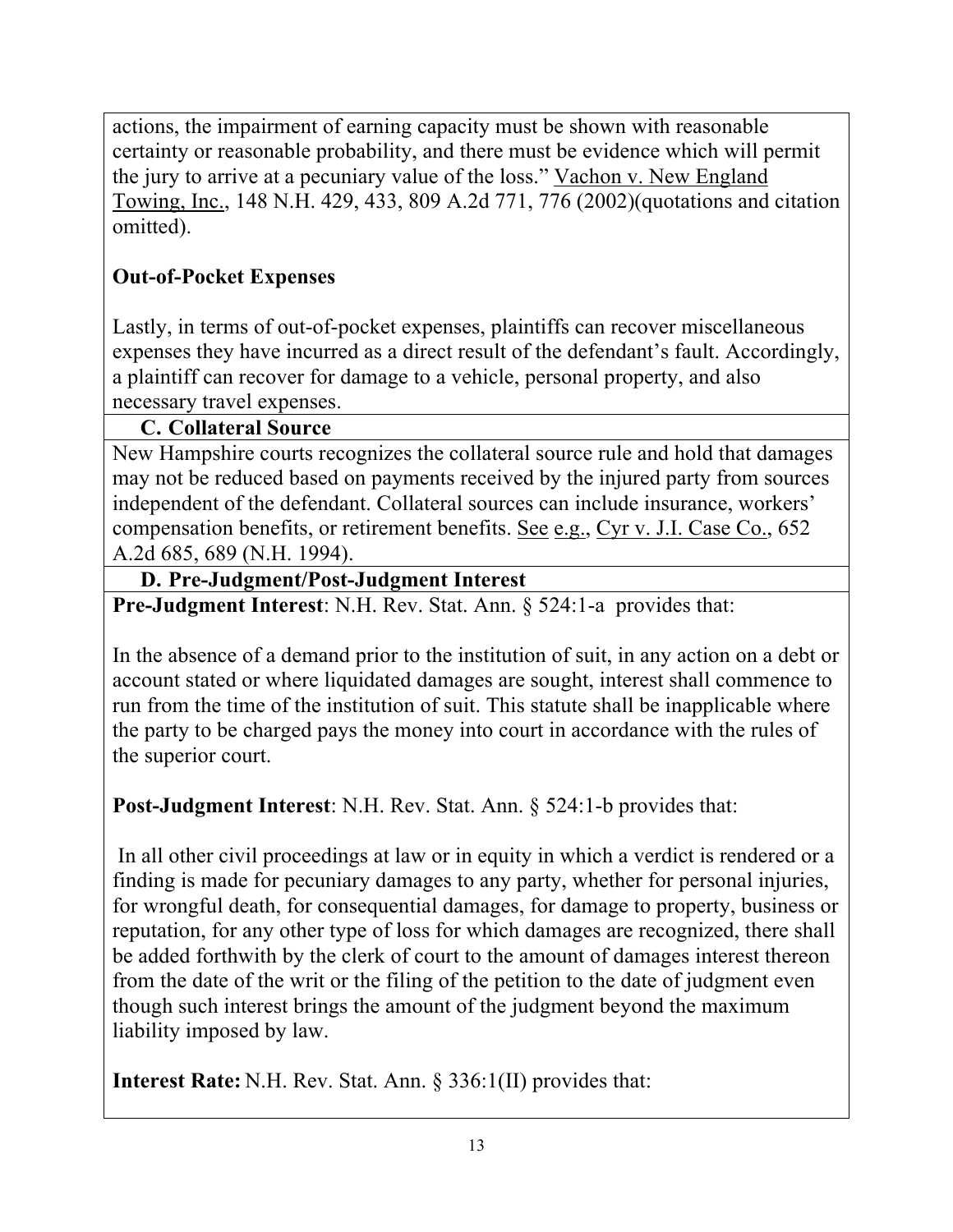actions, the impairment of earning capacity must be shown with reasonable certainty or reasonable probability, and there must be evidence which will permit the jury to arrive at a pecuniary value of the loss." Vachon v. New England Towing, Inc., 148 N.H. 429, 433, 809 A.2d 771, 776 (2002)(quotations and citation omitted).

# **Out-of-Pocket Expenses**

Lastly, in terms of out-of-pocket expenses, plaintiffs can recover miscellaneous expenses they have incurred as a direct result of the defendant's fault. Accordingly, a plaintiff can recover for damage to a vehicle, personal property, and also necessary travel expenses.

## **C. Collateral Source**

New Hampshire courts recognizes the collateral source rule and hold that damages may not be reduced based on payments received by the injured party from sources independent of the defendant. Collateral sources can include insurance, workers' compensation benefits, or retirement benefits. See e.g., Cyr v. J.I. Case Co., 652 A.2d 685, 689 (N.H. 1994).

### **D. Pre-Judgment/Post-Judgment Interest**

**Pre-Judgment Interest**: N.H. Rev. Stat. Ann. § 524:1-a provides that:

In the absence of a demand prior to the institution of suit, in any action on a debt or account stated or where liquidated damages are sought, interest shall commence to run from the time of the institution of suit. This statute shall be inapplicable where the party to be charged pays the money into court in accordance with the rules of the superior court.

**Post-Judgment Interest**: N.H. Rev. Stat. Ann. § 524:1-b provides that:

In all other civil proceedings at law or in equity in which a verdict is rendered or a finding is made for pecuniary damages to any party, whether for personal injuries, for wrongful death, for consequential damages, for damage to property, business or reputation, for any other type of loss for which damages are recognized, there shall be added forthwith by the clerk of court to the amount of damages interest thereon from the date of the writ or the filing of the petition to the date of judgment even though such interest brings the amount of the judgment beyond the maximum liability imposed by law.

**Interest Rate:** N.H. Rev. Stat. Ann. § 336:1(II) provides that: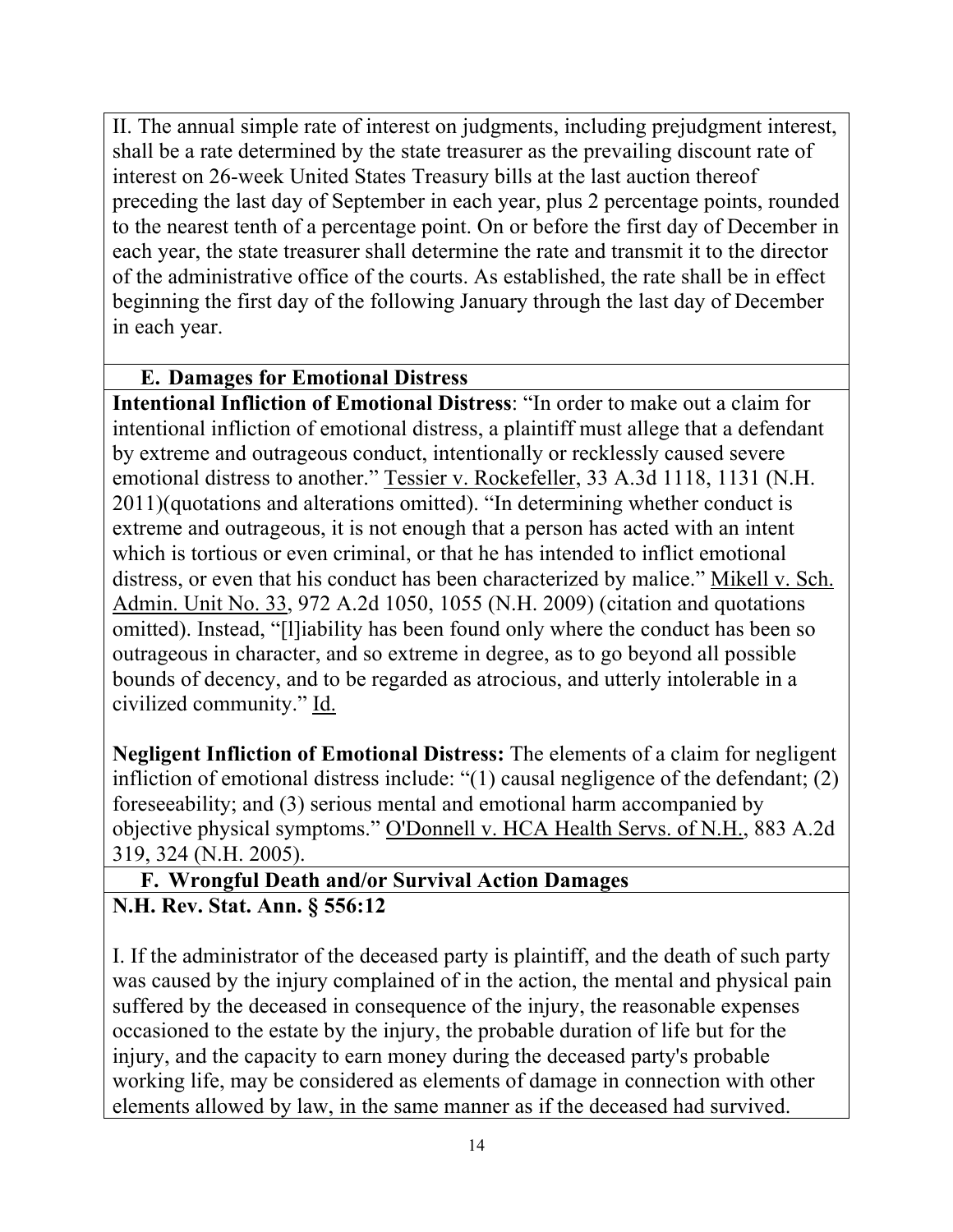II. The annual simple rate of interest on judgments, including prejudgment interest, shall be a rate determined by the state treasurer as the prevailing discount rate of interest on 26-week United States Treasury bills at the last auction thereof preceding the last day of September in each year, plus 2 percentage points, rounded to the nearest tenth of a percentage point. On or before the first day of December in each year, the state treasurer shall determine the rate and transmit it to the director of the administrative office of the courts. As established, the rate shall be in effect beginning the first day of the following January through the last day of December in each year.

### **E. Damages for Emotional Distress**

**Intentional Infliction of Emotional Distress**: "In order to make out a claim for intentional infliction of emotional distress, a plaintiff must allege that a defendant by extreme and outrageous conduct, intentionally or recklessly caused severe emotional distress to another." Tessier v. Rockefeller, 33 A.3d 1118, 1131 (N.H. 2011)(quotations and alterations omitted). "In determining whether conduct is extreme and outrageous, it is not enough that a person has acted with an intent which is tortious or even criminal, or that he has intended to inflict emotional distress, or even that his conduct has been characterized by malice." Mikell v. Sch. Admin. Unit No. 33, 972 A.2d 1050, 1055 (N.H. 2009) (citation and quotations omitted). Instead, "[l]iability has been found only where the conduct has been so outrageous in character, and so extreme in degree, as to go beyond all possible bounds of decency, and to be regarded as atrocious, and utterly intolerable in a civilized community." Id.

**Negligent Infliction of Emotional Distress:** The elements of a claim for negligent infliction of emotional distress include: "(1) causal negligence of the defendant; (2) foreseeability; and (3) serious mental and emotional harm accompanied by objective physical symptoms." O'Donnell v. HCA Health Servs. of N.H., 883 A.2d 319, 324 (N.H. 2005).

## **F. Wrongful Death and/or Survival Action Damages N.H. Rev. Stat. Ann. § 556:12**

I. If the administrator of the deceased party is plaintiff, and the death of such party was caused by the injury complained of in the action, the mental and physical pain suffered by the deceased in consequence of the injury, the reasonable expenses occasioned to the estate by the injury, the probable duration of life but for the injury, and the capacity to earn money during the deceased party's probable working life, may be considered as elements of damage in connection with other elements allowed by law, in the same manner as if the deceased had survived.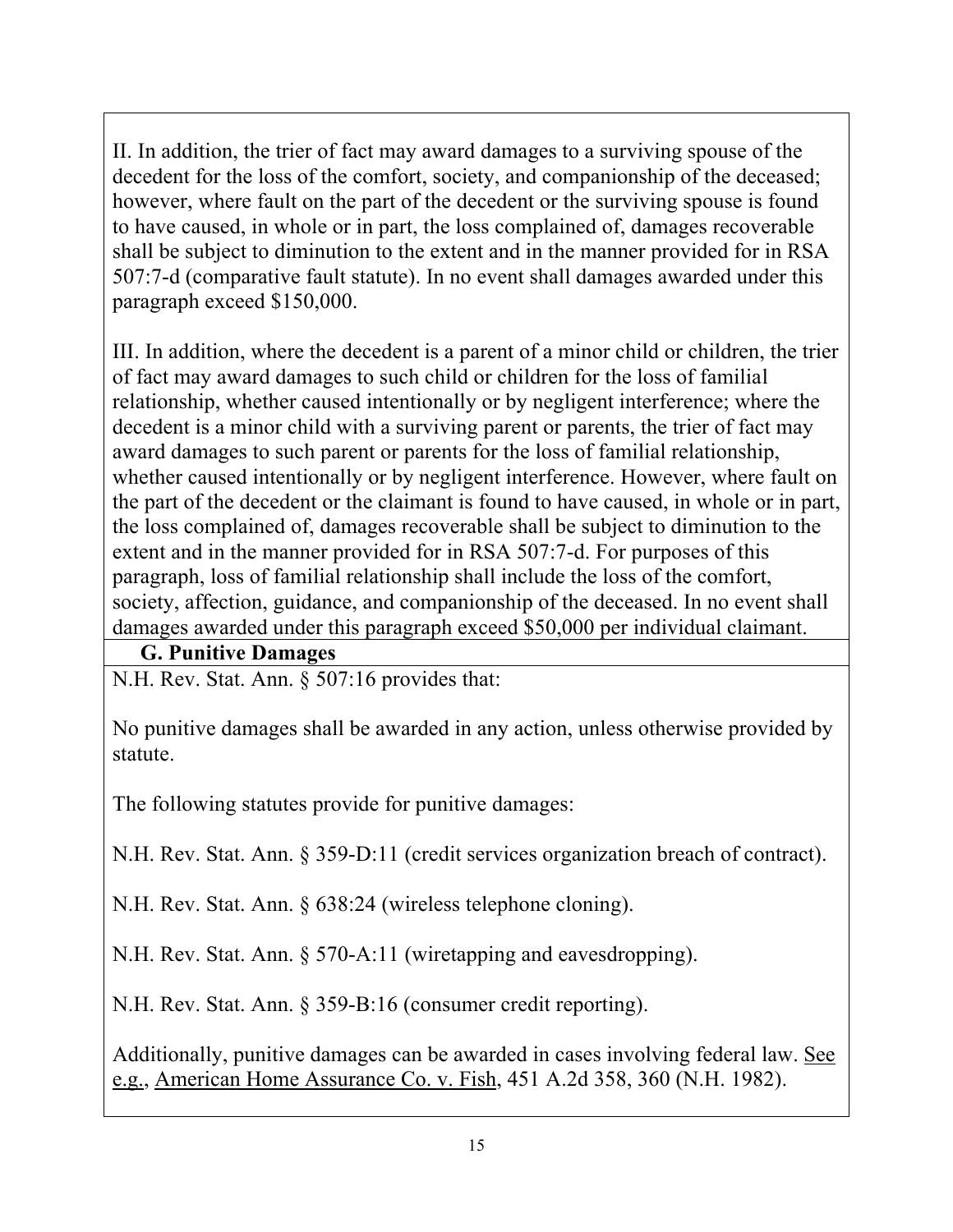II. In addition, the trier of fact may award damages to a surviving spouse of the decedent for the loss of the comfort, society, and companionship of the deceased; however, where fault on the part of the decedent or the surviving spouse is found to have caused, in whole or in part, the loss complained of, damages recoverable shall be subject to diminution to the extent and in the manner provided for in RSA 507:7-d (comparative fault statute). In no event shall damages awarded under this paragraph exceed \$150,000.

III. In addition, where the decedent is a parent of a minor child or children, the trier of fact may award damages to such child or children for the loss of familial relationship, whether caused intentionally or by negligent interference; where the decedent is a minor child with a surviving parent or parents, the trier of fact may award damages to such parent or parents for the loss of familial relationship, whether caused intentionally or by negligent interference. However, where fault on the part of the decedent or the claimant is found to have caused, in whole or in part, the loss complained of, damages recoverable shall be subject to diminution to the extent and in the manner provided for in RSA 507:7-d. For purposes of this paragraph, loss of familial relationship shall include the loss of the comfort, society, affection, guidance, and companionship of the deceased. In no event shall damages awarded under this paragraph exceed \$50,000 per individual claimant.

#### **G. Punitive Damages**

N.H. Rev. Stat. Ann. § 507:16 provides that:

No punitive damages shall be awarded in any action, unless otherwise provided by statute.

The following statutes provide for punitive damages:

N.H. Rev. Stat. Ann. § 359-D:11 (credit services organization breach of contract).

N.H. Rev. Stat. Ann. § 638:24 (wireless telephone cloning).

N.H. Rev. Stat. Ann. § 570-A:11 (wiretapping and eavesdropping).

N.H. Rev. Stat. Ann. § 359-B:16 (consumer credit reporting).

Additionally, punitive damages can be awarded in cases involving federal law. See e.g., American Home Assurance Co. v. Fish, 451 A.2d 358, 360 (N.H. 1982).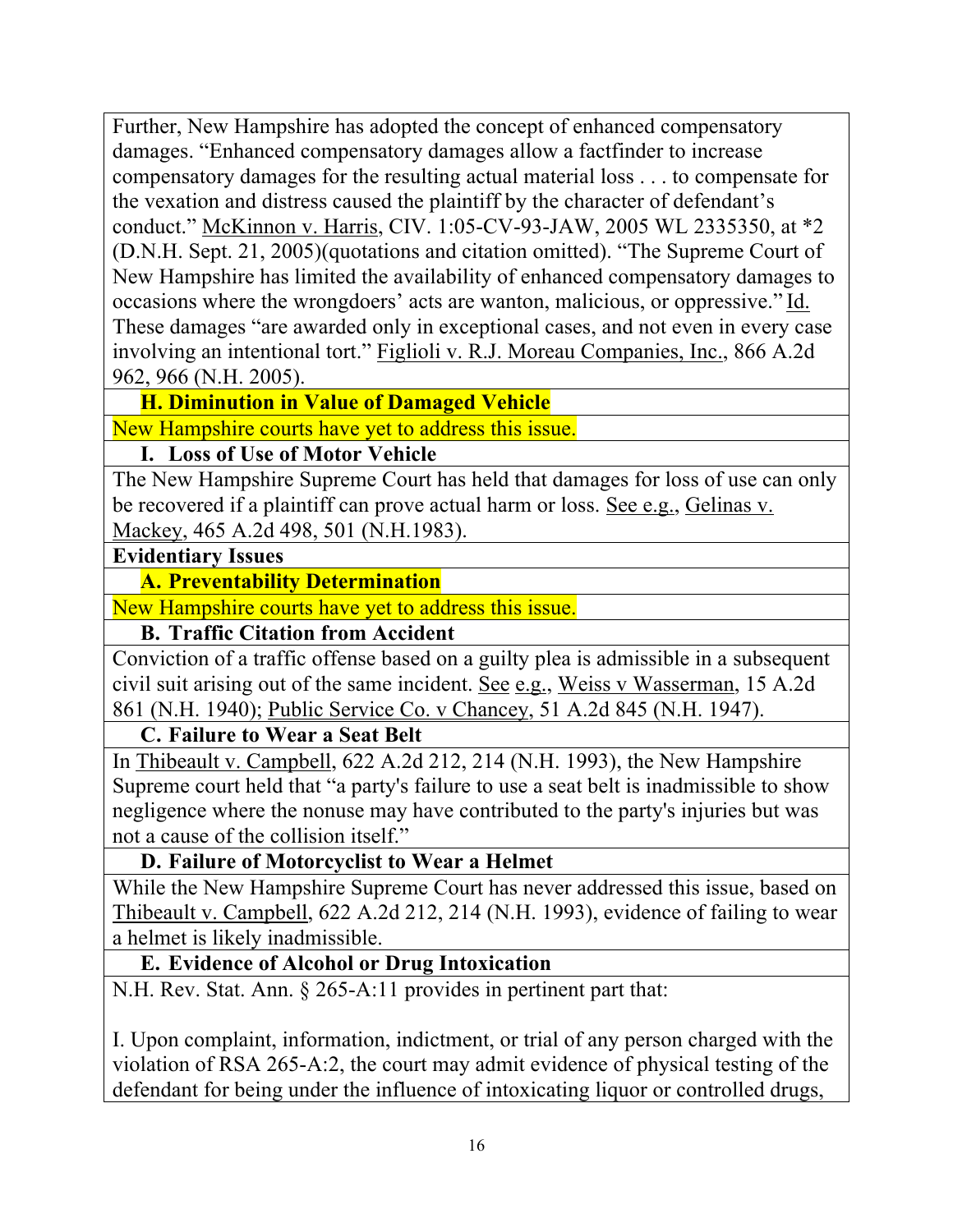Further, New Hampshire has adopted the concept of enhanced compensatory damages. "Enhanced compensatory damages allow a factfinder to increase compensatory damages for the resulting actual material loss . . . to compensate for the vexation and distress caused the plaintiff by the character of defendant's conduct." McKinnon v. Harris, CIV. 1:05-CV-93-JAW, 2005 WL 2335350, at \*2 (D.N.H. Sept. 21, 2005)(quotations and citation omitted). "The Supreme Court of New Hampshire has limited the availability of enhanced compensatory damages to occasions where the wrongdoers' acts are wanton, malicious, or oppressive." Id. These damages "are awarded only in exceptional cases, and not even in every case involving an intentional tort." Figlioli v. R.J. Moreau Companies, Inc., 866 A.2d 962, 966 (N.H. 2005).

### **H. Diminution in Value of Damaged Vehicle**

New Hampshire courts have yet to address this issue.

### **I. Loss of Use of Motor Vehicle**

The New Hampshire Supreme Court has held that damages for loss of use can only be recovered if a plaintiff can prove actual harm or loss. See e.g., Gelinas v. Mackey, 465 A.2d 498, 501 (N.H.1983).

#### **Evidentiary Issues**

#### **A. Preventability Determination**

New Hampshire courts have yet to address this issue.

### **B. Traffic Citation from Accident**

Conviction of a traffic offense based on a guilty plea is admissible in a subsequent civil suit arising out of the same incident. See e.g., Weiss v Wasserman, 15 A.2d 861 (N.H. 1940); Public Service Co. v Chancey, 51 A.2d 845 (N.H. 1947).

#### **C. Failure to Wear a Seat Belt**

In Thibeault v. Campbell, 622 A.2d 212, 214 (N.H. 1993), the New Hampshire Supreme court held that "a party's failure to use a seat belt is inadmissible to show negligence where the nonuse may have contributed to the party's injuries but was not a cause of the collision itself."

### **D. Failure of Motorcyclist to Wear a Helmet**

While the New Hampshire Supreme Court has never addressed this issue, based on Thibeault v. Campbell, 622 A.2d 212, 214 (N.H. 1993), evidence of failing to wear a helmet is likely inadmissible.

### **E. Evidence of Alcohol or Drug Intoxication**

N.H. Rev. Stat. Ann. § 265-A:11 provides in pertinent part that:

I. Upon complaint, information, indictment, or trial of any person charged with the violation of RSA 265-A:2, the court may admit evidence of physical testing of the defendant for being under the influence of intoxicating liquor or controlled drugs,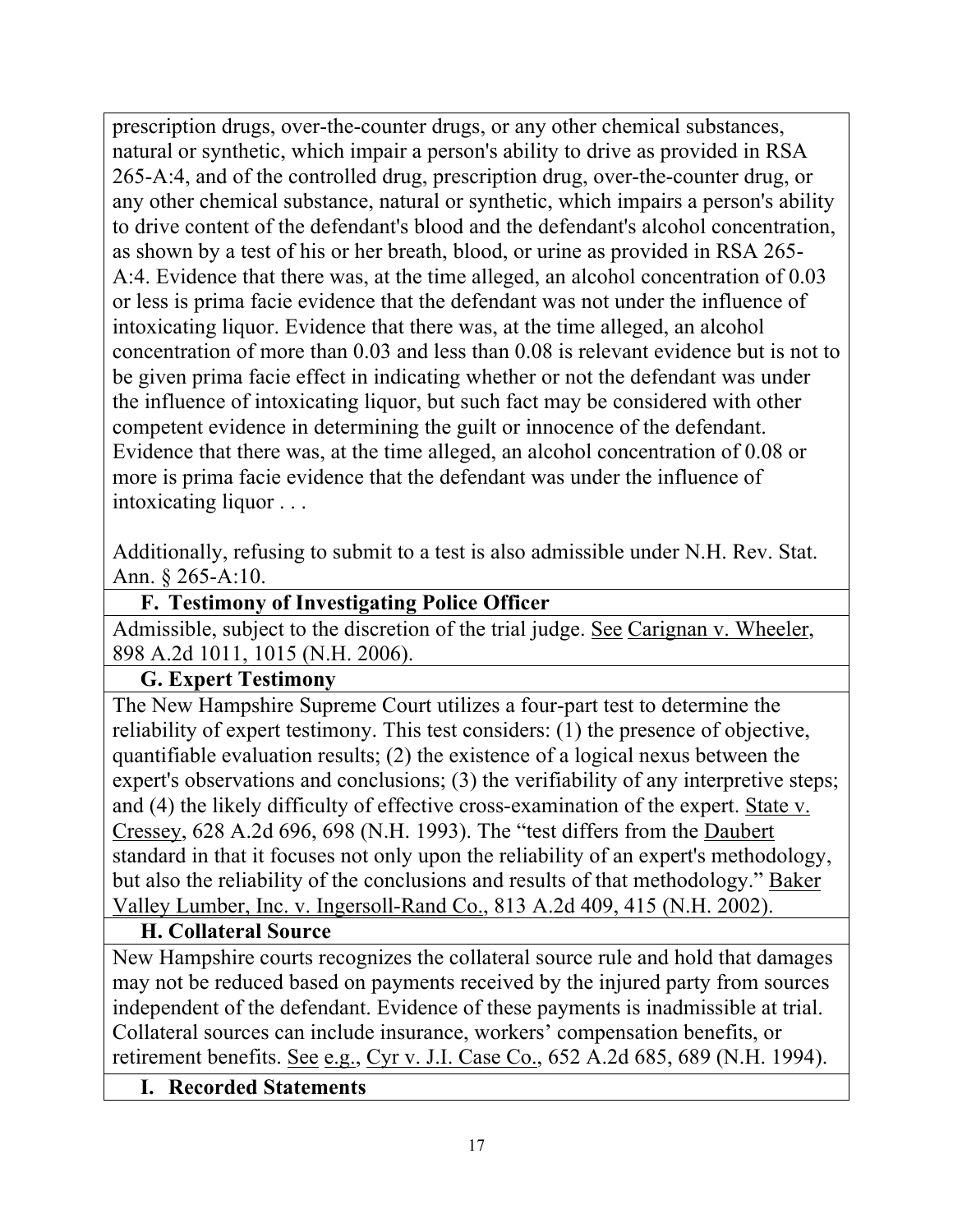prescription drugs, over-the-counter drugs, or any other chemical substances, natural or synthetic, which impair a person's ability to drive as provided in RSA 265-A:4, and of the controlled drug, prescription drug, over-the-counter drug, or any other chemical substance, natural or synthetic, which impairs a person's ability to drive content of the defendant's blood and the defendant's alcohol concentration, as shown by a test of his or her breath, blood, or urine as provided in RSA 265- A:4. Evidence that there was, at the time alleged, an alcohol concentration of 0.03 or less is prima facie evidence that the defendant was not under the influence of intoxicating liquor. Evidence that there was, at the time alleged, an alcohol concentration of more than 0.03 and less than 0.08 is relevant evidence but is not to be given prima facie effect in indicating whether or not the defendant was under the influence of intoxicating liquor, but such fact may be considered with other competent evidence in determining the guilt or innocence of the defendant. Evidence that there was, at the time alleged, an alcohol concentration of 0.08 or more is prima facie evidence that the defendant was under the influence of intoxicating liquor . . .

Additionally, refusing to submit to a test is also admissible under N.H. Rev. Stat. Ann. § 265-A:10.

### **F. Testimony of Investigating Police Officer**

Admissible, subject to the discretion of the trial judge. See Carignan v. Wheeler, 898 A.2d 1011, 1015 (N.H. 2006).

### **G. Expert Testimony**

The New Hampshire Supreme Court utilizes a four-part test to determine the reliability of expert testimony. This test considers: (1) the presence of objective, quantifiable evaluation results; (2) the existence of a logical nexus between the expert's observations and conclusions; (3) the verifiability of any interpretive steps; and (4) the likely difficulty of effective cross-examination of the expert. State v. Cressey, 628 A.2d 696, 698 (N.H. 1993). The "test differs from the Daubert standard in that it focuses not only upon the reliability of an expert's methodology, but also the reliability of the conclusions and results of that methodology." Baker Valley Lumber, Inc. v. Ingersoll-Rand Co., 813 A.2d 409, 415 (N.H. 2002).

### **H. Collateral Source**

New Hampshire courts recognizes the collateral source rule and hold that damages may not be reduced based on payments received by the injured party from sources independent of the defendant. Evidence of these payments is inadmissible at trial. Collateral sources can include insurance, workers' compensation benefits, or retirement benefits. See e.g., Cyr v. J.I. Case Co., 652 A.2d 685, 689 (N.H. 1994).

### **I. Recorded Statements**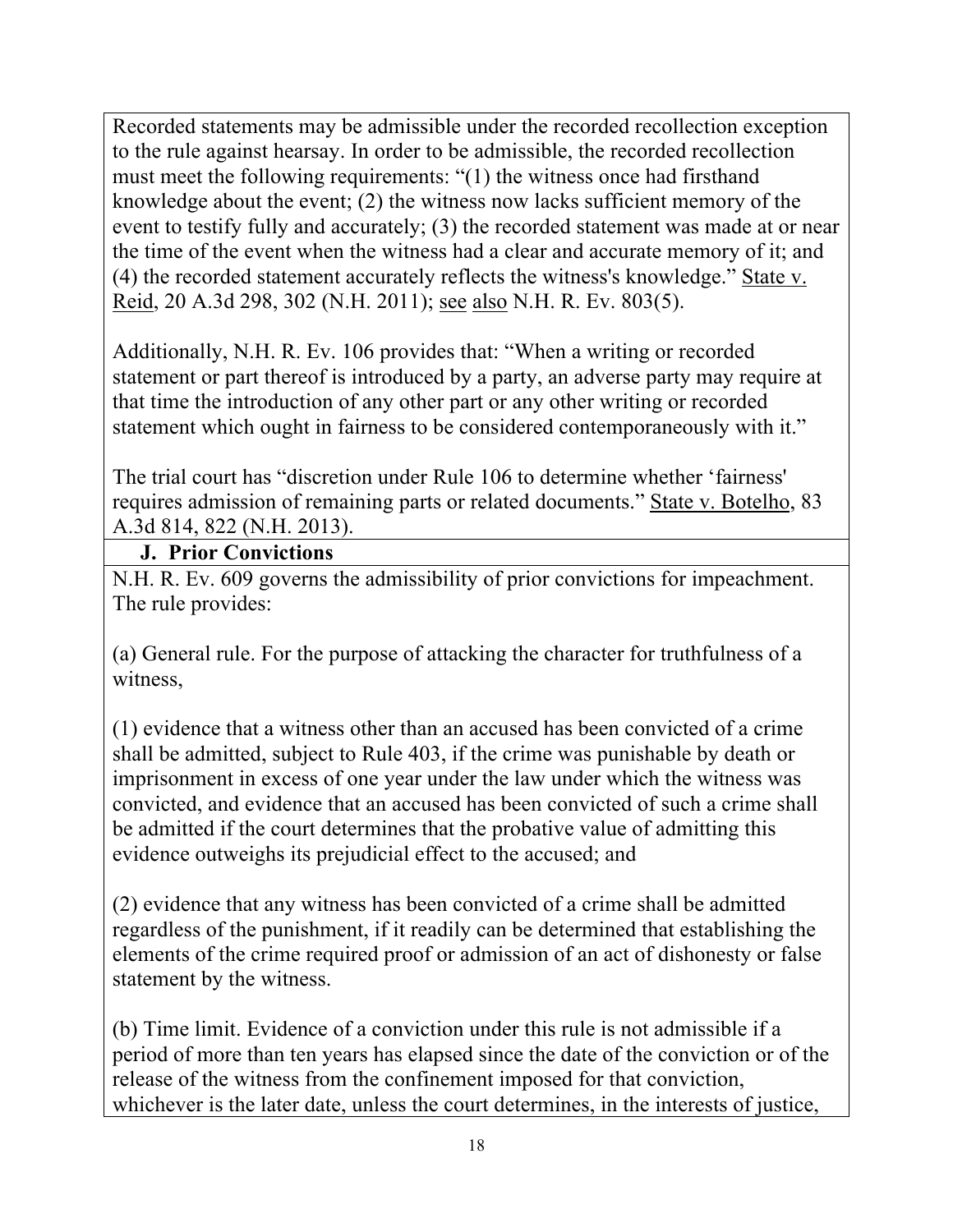Recorded statements may be admissible under the recorded recollection exception to the rule against hearsay. In order to be admissible, the recorded recollection must meet the following requirements: "(1) the witness once had firsthand knowledge about the event; (2) the witness now lacks sufficient memory of the event to testify fully and accurately; (3) the recorded statement was made at or near the time of the event when the witness had a clear and accurate memory of it; and (4) the recorded statement accurately reflects the witness's knowledge." State v. Reid, 20 A.3d 298, 302 (N.H. 2011); see also N.H. R. Ev. 803(5).

Additionally, N.H. R. Ev. 106 provides that: "When a writing or recorded statement or part thereof is introduced by a party, an adverse party may require at that time the introduction of any other part or any other writing or recorded statement which ought in fairness to be considered contemporaneously with it."

The trial court has "discretion under Rule 106 to determine whether 'fairness' requires admission of remaining parts or related documents." State v. Botelho, 83 A.3d 814, 822 (N.H. 2013).

### **J. Prior Convictions**

N.H. R. Ev. 609 governs the admissibility of prior convictions for impeachment. The rule provides:

(a) General rule. For the purpose of attacking the character for truthfulness of a witness,

(1) evidence that a witness other than an accused has been convicted of a crime shall be admitted, subject to Rule 403, if the crime was punishable by death or imprisonment in excess of one year under the law under which the witness was convicted, and evidence that an accused has been convicted of such a crime shall be admitted if the court determines that the probative value of admitting this evidence outweighs its prejudicial effect to the accused; and

(2) evidence that any witness has been convicted of a crime shall be admitted regardless of the punishment, if it readily can be determined that establishing the elements of the crime required proof or admission of an act of dishonesty or false statement by the witness.

(b) Time limit. Evidence of a conviction under this rule is not admissible if a period of more than ten years has elapsed since the date of the conviction or of the release of the witness from the confinement imposed for that conviction, whichever is the later date, unless the court determines, in the interests of justice,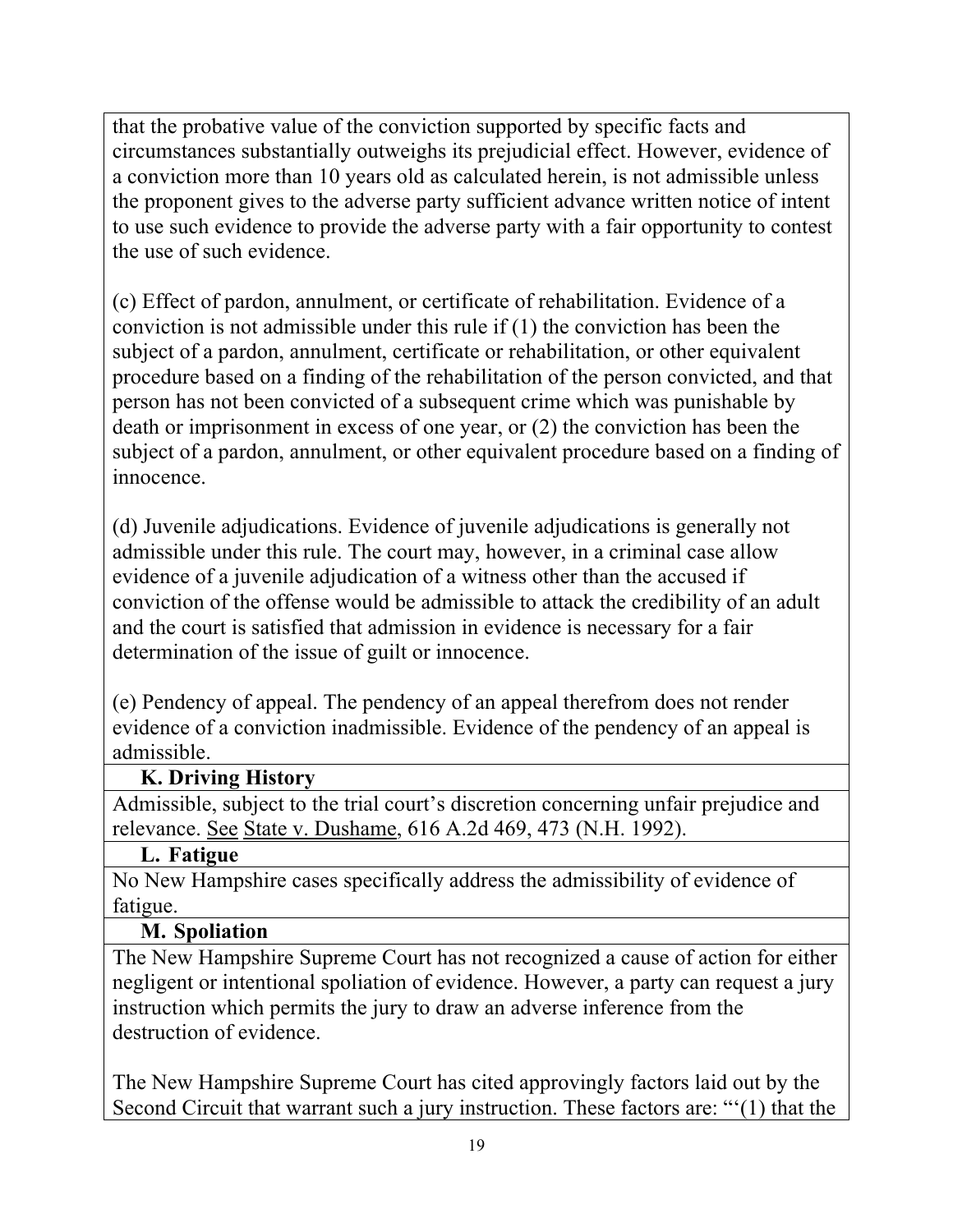that the probative value of the conviction supported by specific facts and circumstances substantially outweighs its prejudicial effect. However, evidence of a conviction more than 10 years old as calculated herein, is not admissible unless the proponent gives to the adverse party sufficient advance written notice of intent to use such evidence to provide the adverse party with a fair opportunity to contest the use of such evidence.

(c) Effect of pardon, annulment, or certificate of rehabilitation. Evidence of a conviction is not admissible under this rule if (1) the conviction has been the subject of a pardon, annulment, certificate or rehabilitation, or other equivalent procedure based on a finding of the rehabilitation of the person convicted, and that person has not been convicted of a subsequent crime which was punishable by death or imprisonment in excess of one year, or (2) the conviction has been the subject of a pardon, annulment, or other equivalent procedure based on a finding of innocence.

(d) Juvenile adjudications. Evidence of juvenile adjudications is generally not admissible under this rule. The court may, however, in a criminal case allow evidence of a juvenile adjudication of a witness other than the accused if conviction of the offense would be admissible to attack the credibility of an adult and the court is satisfied that admission in evidence is necessary for a fair determination of the issue of guilt or innocence.

(e) Pendency of appeal. The pendency of an appeal therefrom does not render evidence of a conviction inadmissible. Evidence of the pendency of an appeal is admissible.

#### **K. Driving History**

Admissible, subject to the trial court's discretion concerning unfair prejudice and relevance. See State v. Dushame, 616 A.2d 469, 473 (N.H. 1992).

#### **L. Fatigue**

No New Hampshire cases specifically address the admissibility of evidence of fatigue.

#### **M. Spoliation**

The New Hampshire Supreme Court has not recognized a cause of action for either negligent or intentional spoliation of evidence. However, a party can request a jury instruction which permits the jury to draw an adverse inference from the destruction of evidence.

The New Hampshire Supreme Court has cited approvingly factors laid out by the Second Circuit that warrant such a jury instruction. These factors are: "'(1) that the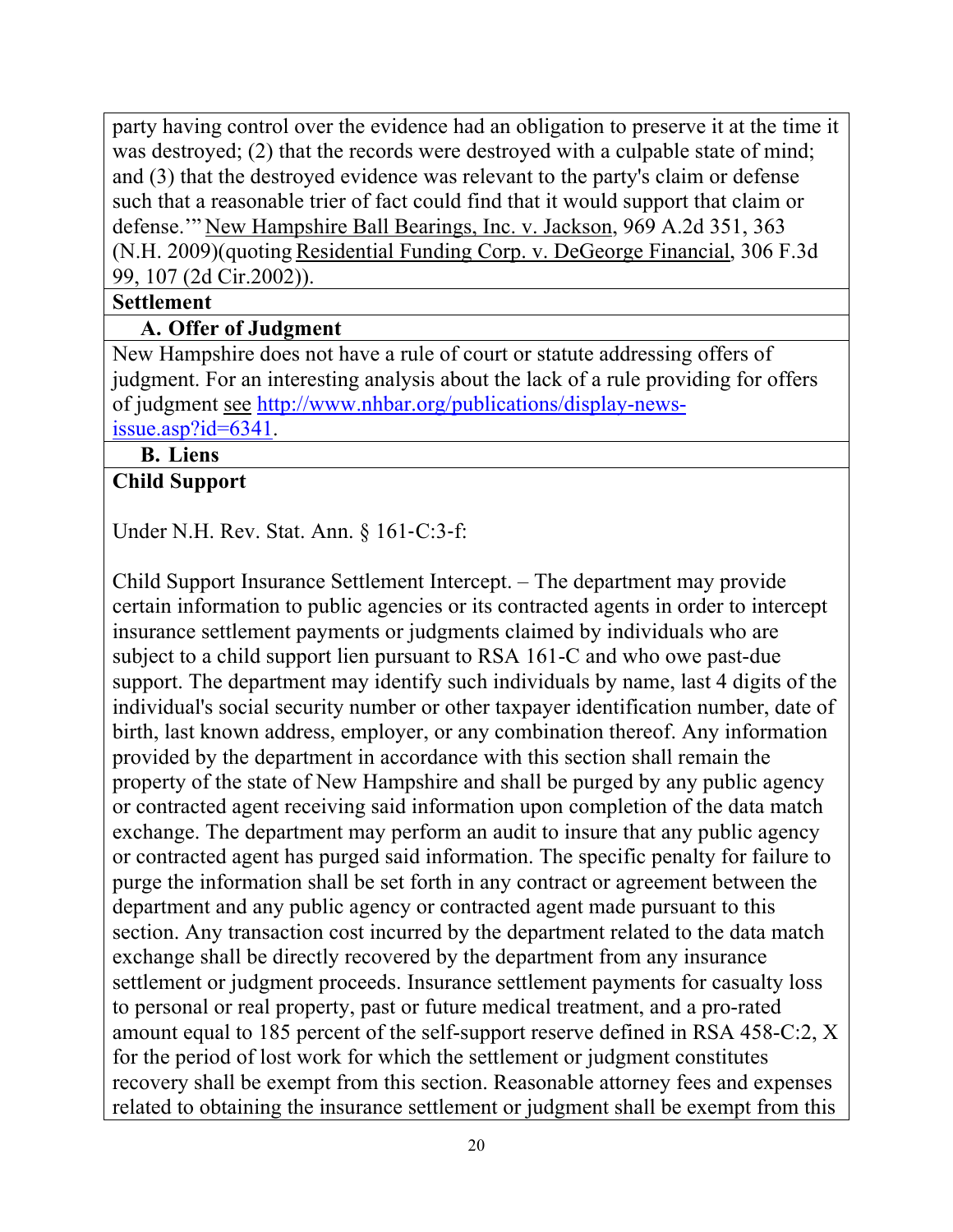party having control over the evidence had an obligation to preserve it at the time it was destroyed; (2) that the records were destroyed with a culpable state of mind; and (3) that the destroyed evidence was relevant to the party's claim or defense such that a reasonable trier of fact could find that it would support that claim or defense.'" New Hampshire Ball Bearings, Inc. v. Jackson, 969 A.2d 351, 363 (N.H. 2009)(quoting Residential Funding Corp. v. DeGeorge Financial, 306 F.3d 99, 107 (2d Cir.2002)).

### **Settlement**

## **A. Offer of Judgment**

New Hampshire does not have a rule of court or statute addressing offers of judgment. For an interesting analysis about the lack of a rule providing for offers of judgment see http://www.nhbar.org/publications/display-newsissue.asp?id=6341.

## **B. Liens**

### **Child Support**

Under N.H. Rev. Stat. Ann.  $§$  161-C:3-f:

Child Support Insurance Settlement Intercept. – The department may provide certain information to public agencies or its contracted agents in order to intercept insurance settlement payments or judgments claimed by individuals who are subject to a child support lien pursuant to RSA 161-C and who owe past-due support. The department may identify such individuals by name, last 4 digits of the individual's social security number or other taxpayer identification number, date of birth, last known address, employer, or any combination thereof. Any information provided by the department in accordance with this section shall remain the property of the state of New Hampshire and shall be purged by any public agency or contracted agent receiving said information upon completion of the data match exchange. The department may perform an audit to insure that any public agency or contracted agent has purged said information. The specific penalty for failure to purge the information shall be set forth in any contract or agreement between the department and any public agency or contracted agent made pursuant to this section. Any transaction cost incurred by the department related to the data match exchange shall be directly recovered by the department from any insurance settlement or judgment proceeds. Insurance settlement payments for casualty loss to personal or real property, past or future medical treatment, and a pro-rated amount equal to 185 percent of the self-support reserve defined in RSA 458-C:2, X for the period of lost work for which the settlement or judgment constitutes recovery shall be exempt from this section. Reasonable attorney fees and expenses related to obtaining the insurance settlement or judgment shall be exempt from this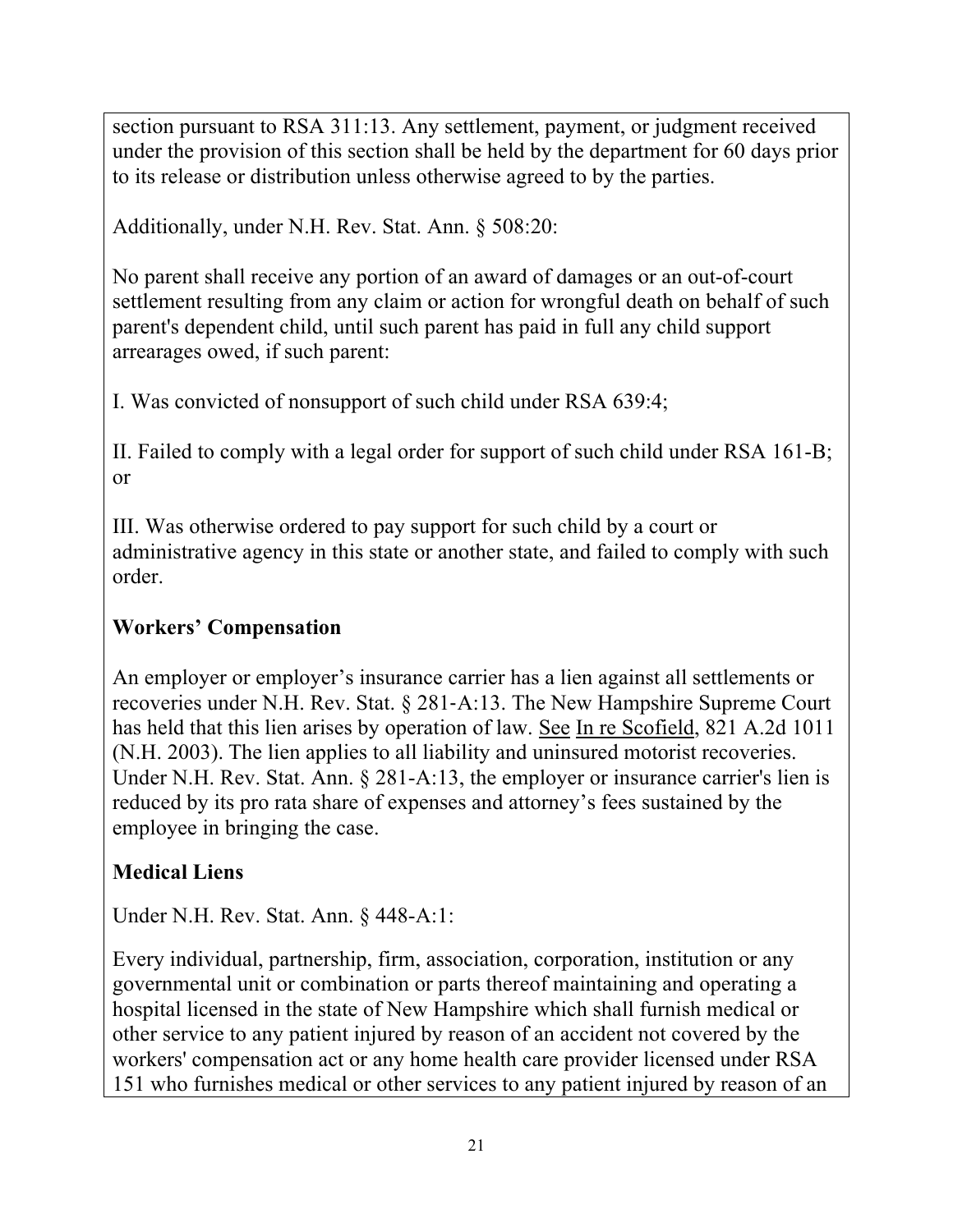section pursuant to RSA 311:13. Any settlement, payment, or judgment received under the provision of this section shall be held by the department for 60 days prior to its release or distribution unless otherwise agreed to by the parties.

Additionally, under N.H. Rev. Stat. Ann. § 508:20:

No parent shall receive any portion of an award of damages or an out-of-court settlement resulting from any claim or action for wrongful death on behalf of such parent's dependent child, until such parent has paid in full any child support arrearages owed, if such parent:

I. Was convicted of nonsupport of such child under RSA 639:4;

II. Failed to comply with a legal order for support of such child under RSA 161-B; or

III. Was otherwise ordered to pay support for such child by a court or administrative agency in this state or another state, and failed to comply with such order.

# **Workers' Compensation**

An employer or employer's insurance carrier has a lien against all settlements or recoveries under N.H. Rev. Stat.  $\S$  281-A:13. The New Hampshire Supreme Court has held that this lien arises by operation of law. See In re Scofield, 821 A.2d 1011 (N.H. 2003). The lien applies to all liability and uninsured motorist recoveries. Under N.H. Rev. Stat. Ann. § 281-A:13, the employer or insurance carrier's lien is reduced by its pro rata share of expenses and attorney's fees sustained by the employee in bringing the case.

# **Medical Liens**

Under N.H. Rev. Stat. Ann. § 448-A:1:

Every individual, partnership, firm, association, corporation, institution or any governmental unit or combination or parts thereof maintaining and operating a hospital licensed in the state of New Hampshire which shall furnish medical or other service to any patient injured by reason of an accident not covered by the workers' compensation act or any home health care provider licensed under RSA 151 who furnishes medical or other services to any patient injured by reason of an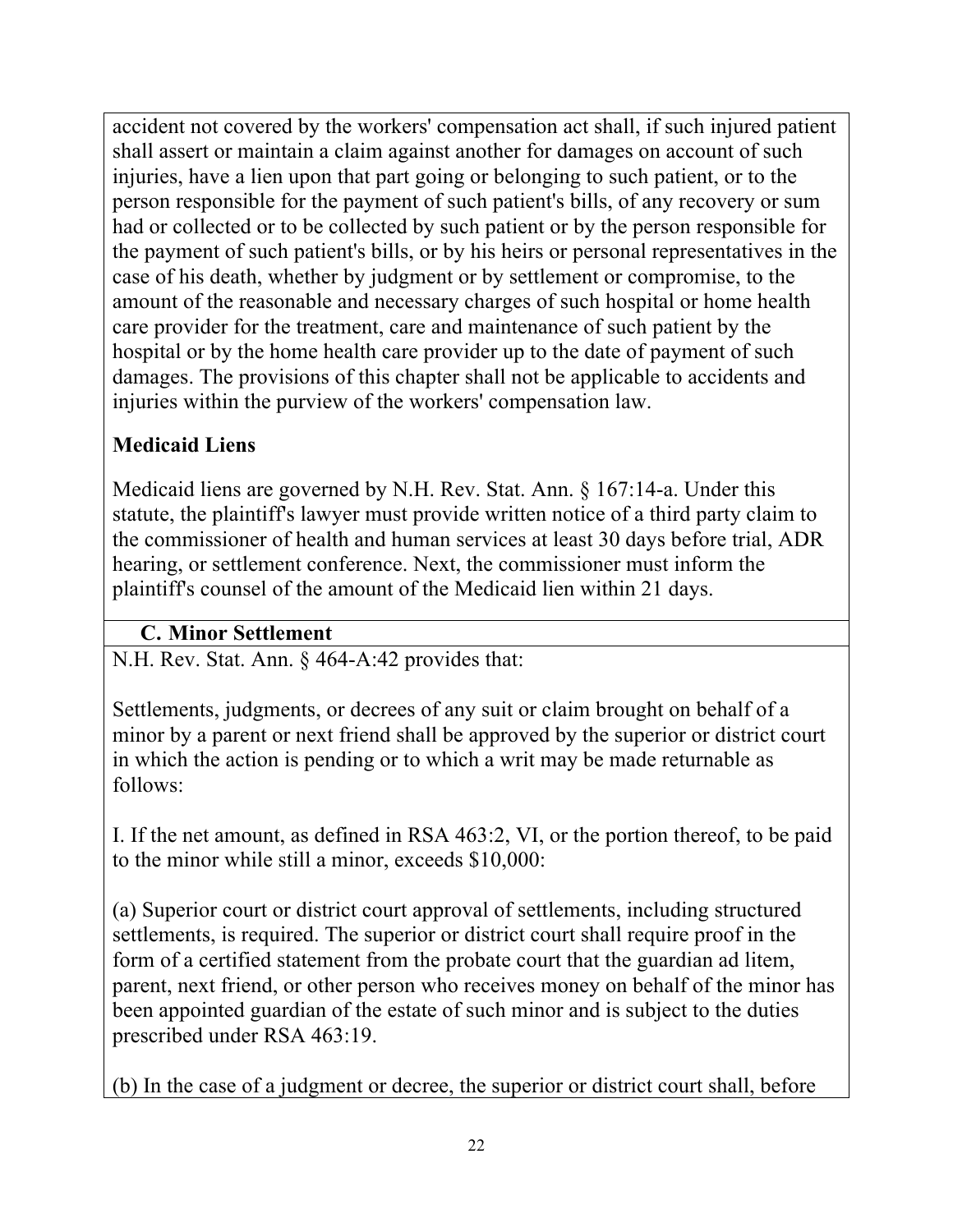accident not covered by the workers' compensation act shall, if such injured patient shall assert or maintain a claim against another for damages on account of such injuries, have a lien upon that part going or belonging to such patient, or to the person responsible for the payment of such patient's bills, of any recovery or sum had or collected or to be collected by such patient or by the person responsible for the payment of such patient's bills, or by his heirs or personal representatives in the case of his death, whether by judgment or by settlement or compromise, to the amount of the reasonable and necessary charges of such hospital or home health care provider for the treatment, care and maintenance of such patient by the hospital or by the home health care provider up to the date of payment of such damages. The provisions of this chapter shall not be applicable to accidents and injuries within the purview of the workers' compensation law.

# **Medicaid Liens**

Medicaid liens are governed by N.H. Rev. Stat. Ann. § 167:14-a. Under this statute, the plaintiff's lawyer must provide written notice of a third party claim to the commissioner of health and human services at least 30 days before trial, ADR hearing, or settlement conference. Next, the commissioner must inform the plaintiff's counsel of the amount of the Medicaid lien within 21 days.

# **C. Minor Settlement**

N.H. Rev. Stat. Ann. § 464-A:42 provides that:

Settlements, judgments, or decrees of any suit or claim brought on behalf of a minor by a parent or next friend shall be approved by the superior or district court in which the action is pending or to which a writ may be made returnable as follows:

I. If the net amount, as defined in RSA 463:2, VI, or the portion thereof, to be paid to the minor while still a minor, exceeds \$10,000:

(a) Superior court or district court approval of settlements, including structured settlements, is required. The superior or district court shall require proof in the form of a certified statement from the probate court that the guardian ad litem, parent, next friend, or other person who receives money on behalf of the minor has been appointed guardian of the estate of such minor and is subject to the duties prescribed under RSA 463:19.

(b) In the case of a judgment or decree, the superior or district court shall, before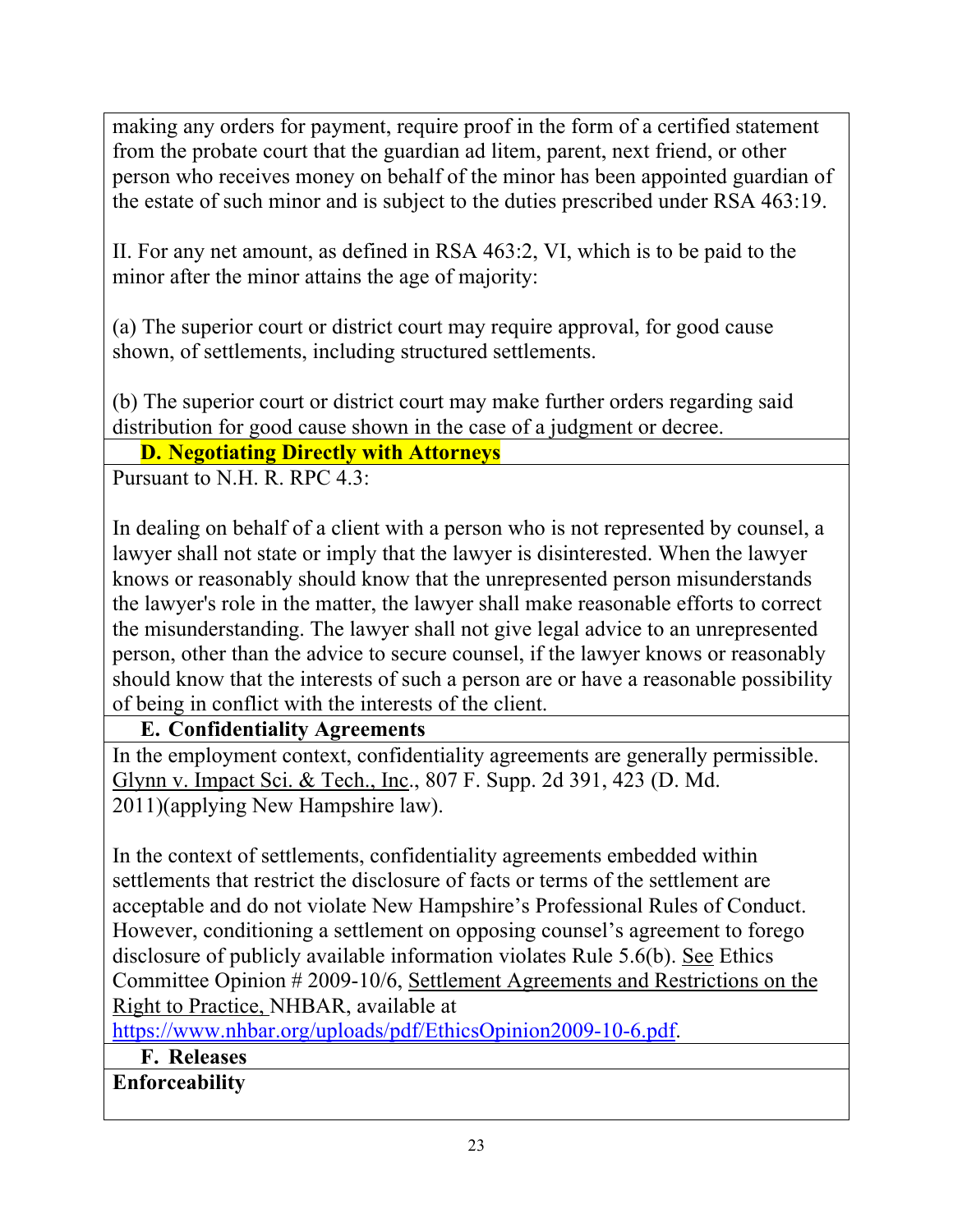making any orders for payment, require proof in the form of a certified statement from the probate court that the guardian ad litem, parent, next friend, or other person who receives money on behalf of the minor has been appointed guardian of the estate of such minor and is subject to the duties prescribed under RSA 463:19.

II. For any net amount, as defined in RSA 463:2, VI, which is to be paid to the minor after the minor attains the age of majority:

(a) The superior court or district court may require approval, for good cause shown, of settlements, including structured settlements.

(b) The superior court or district court may make further orders regarding said distribution for good cause shown in the case of a judgment or decree.

### **D. Negotiating Directly with Attorneys**

Pursuant to N.H. R. RPC 4.3:

In dealing on behalf of a client with a person who is not represented by counsel, a lawyer shall not state or imply that the lawyer is disinterested. When the lawyer knows or reasonably should know that the unrepresented person misunderstands the lawyer's role in the matter, the lawyer shall make reasonable efforts to correct the misunderstanding. The lawyer shall not give legal advice to an unrepresented person, other than the advice to secure counsel, if the lawyer knows or reasonably should know that the interests of such a person are or have a reasonable possibility of being in conflict with the interests of the client.

**E. Confidentiality Agreements** 

In the employment context, confidentiality agreements are generally permissible. Glynn v. Impact Sci. & Tech., Inc., 807 F. Supp. 2d 391, 423 (D. Md. 2011)(applying New Hampshire law).

In the context of settlements, confidentiality agreements embedded within settlements that restrict the disclosure of facts or terms of the settlement are acceptable and do not violate New Hampshire's Professional Rules of Conduct. However, conditioning a settlement on opposing counsel's agreement to forego disclosure of publicly available information violates Rule 5.6(b). See Ethics Committee Opinion # 2009-10/6, Settlement Agreements and Restrictions on the Right to Practice, NHBAR, available at

https://www.nhbar.org/uploads/pdf/EthicsOpinion2009-10-6.pdf.

**F. Releases** 

**Enforceability**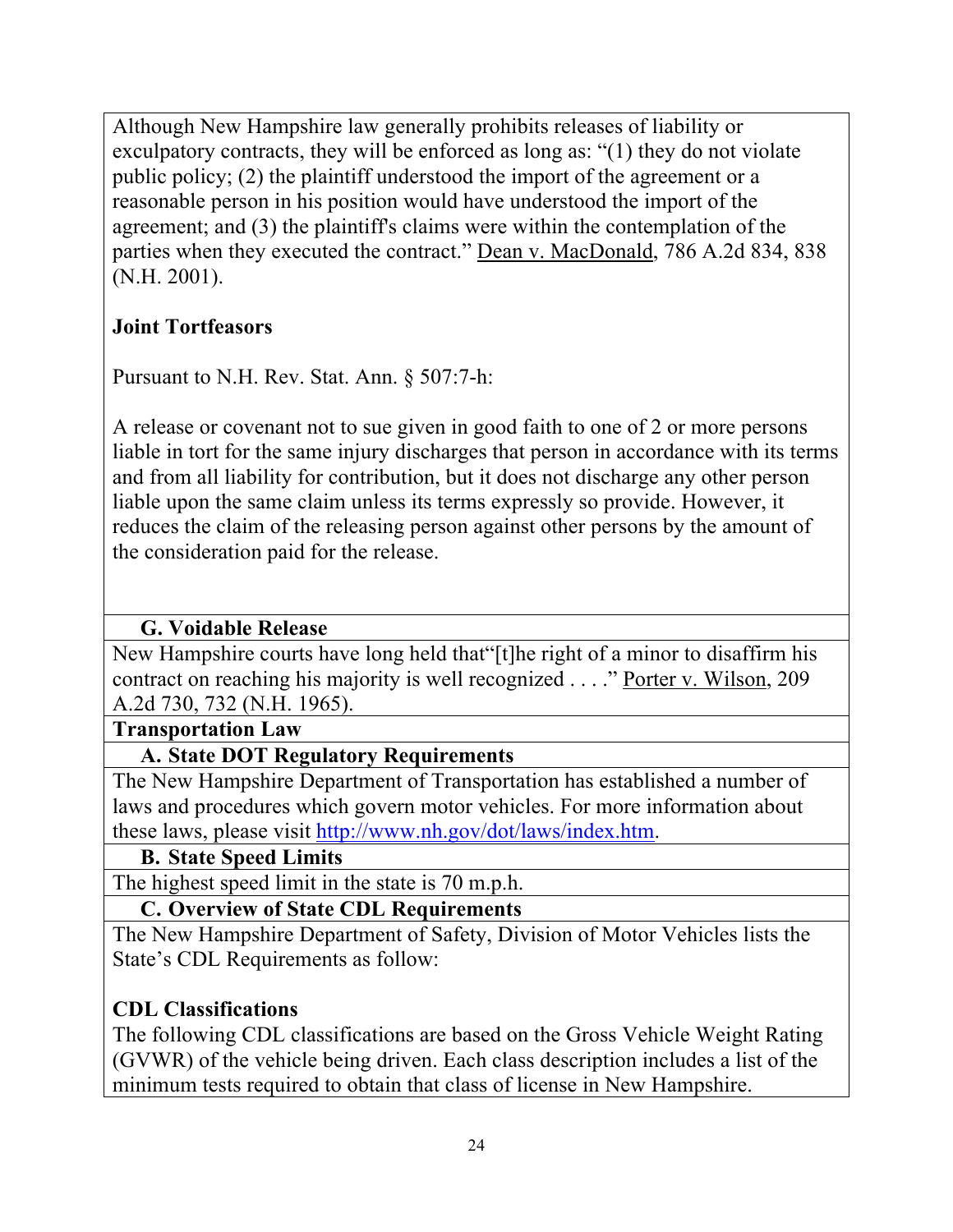Although New Hampshire law generally prohibits releases of liability or exculpatory contracts, they will be enforced as long as: "(1) they do not violate public policy; (2) the plaintiff understood the import of the agreement or a reasonable person in his position would have understood the import of the agreement; and (3) the plaintiff's claims were within the contemplation of the parties when they executed the contract." Dean v. MacDonald, 786 A.2d 834, 838 (N.H. 2001).

## **Joint Tortfeasors**

Pursuant to N.H. Rev. Stat. Ann. § 507:7-h:

A release or covenant not to sue given in good faith to one of 2 or more persons liable in tort for the same injury discharges that person in accordance with its terms and from all liability for contribution, but it does not discharge any other person liable upon the same claim unless its terms expressly so provide. However, it reduces the claim of the releasing person against other persons by the amount of the consideration paid for the release.

## **G. Voidable Release**

New Hampshire courts have long held that"[t]he right of a minor to disaffirm his contract on reaching his majority is well recognized . . . ." Porter v. Wilson, 209 A.2d 730, 732 (N.H. 1965).

### **Transportation Law**

## **A. State DOT Regulatory Requirements**

The New Hampshire Department of Transportation has established a number of laws and procedures which govern motor vehicles. For more information about these laws, please visit http://www.nh.gov/dot/laws/index.htm.

### **B. State Speed Limits**

The highest speed limit in the state is 70 m.p.h.

## **C. Overview of State CDL Requirements**

The New Hampshire Department of Safety, Division of Motor Vehicles lists the State's CDL Requirements as follow:

## **CDL Classifications**

The following CDL classifications are based on the Gross Vehicle Weight Rating (GVWR) of the vehicle being driven. Each class description includes a list of the minimum tests required to obtain that class of license in New Hampshire.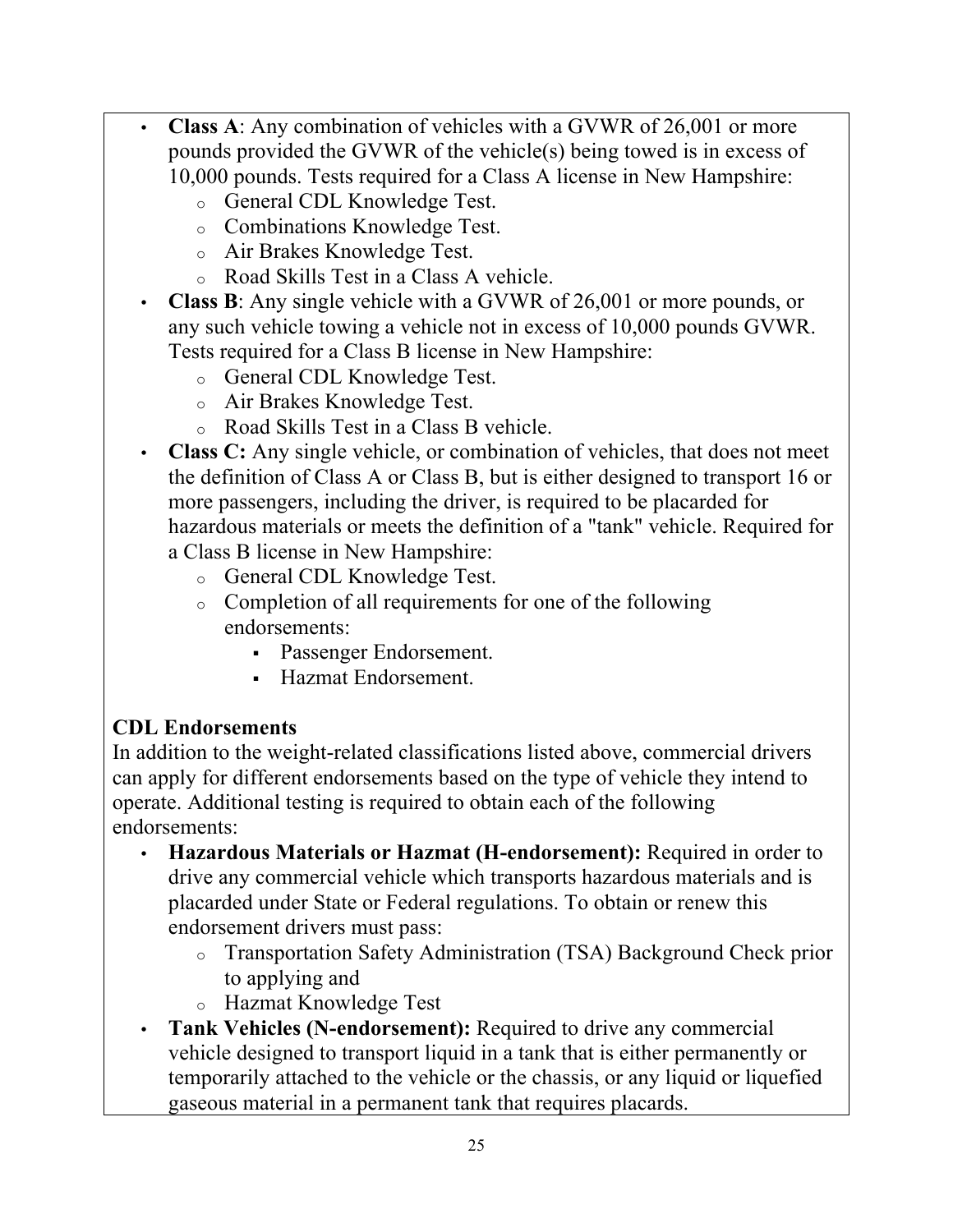- **Class A**: Any combination of vehicles with a GVWR of 26,001 or more pounds provided the GVWR of the vehicle(s) being towed is in excess of 10,000 pounds. Tests required for a Class A license in New Hampshire:
	- o General CDL Knowledge Test.
	- o Combinations Knowledge Test.
	- o Air Brakes Knowledge Test.
	- o Road Skills Test in a Class A vehicle.
- **Class B**: Any single vehicle with a GVWR of 26,001 or more pounds, or any such vehicle towing a vehicle not in excess of 10,000 pounds GVWR. Tests required for a Class B license in New Hampshire:
	- o General CDL Knowledge Test.
	- o Air Brakes Knowledge Test.
	- o Road Skills Test in a Class B vehicle.
- **Class C:** Any single vehicle, or combination of vehicles, that does not meet the definition of Class A or Class B, but is either designed to transport 16 or more passengers, including the driver, is required to be placarded for hazardous materials or meets the definition of a "tank" vehicle. Required for a Class B license in New Hampshire:
	- o General CDL Knowledge Test.
	- o Completion of all requirements for one of the following endorsements:
		- Passenger Endorsement.
		- Hazmat Endorsement.

# **CDL Endorsements**

In addition to the weight-related classifications listed above, commercial drivers can apply for different endorsements based on the type of vehicle they intend to operate. Additional testing is required to obtain each of the following endorsements:

- **Hazardous Materials or Hazmat (H-endorsement):** Required in order to drive any commercial vehicle which transports hazardous materials and is placarded under State or Federal regulations. To obtain or renew this endorsement drivers must pass:
	- o Transportation Safety Administration (TSA) Background Check prior to applying and
	- o Hazmat Knowledge Test
- **Tank Vehicles (N-endorsement):** Required to drive any commercial vehicle designed to transport liquid in a tank that is either permanently or temporarily attached to the vehicle or the chassis, or any liquid or liquefied gaseous material in a permanent tank that requires placards.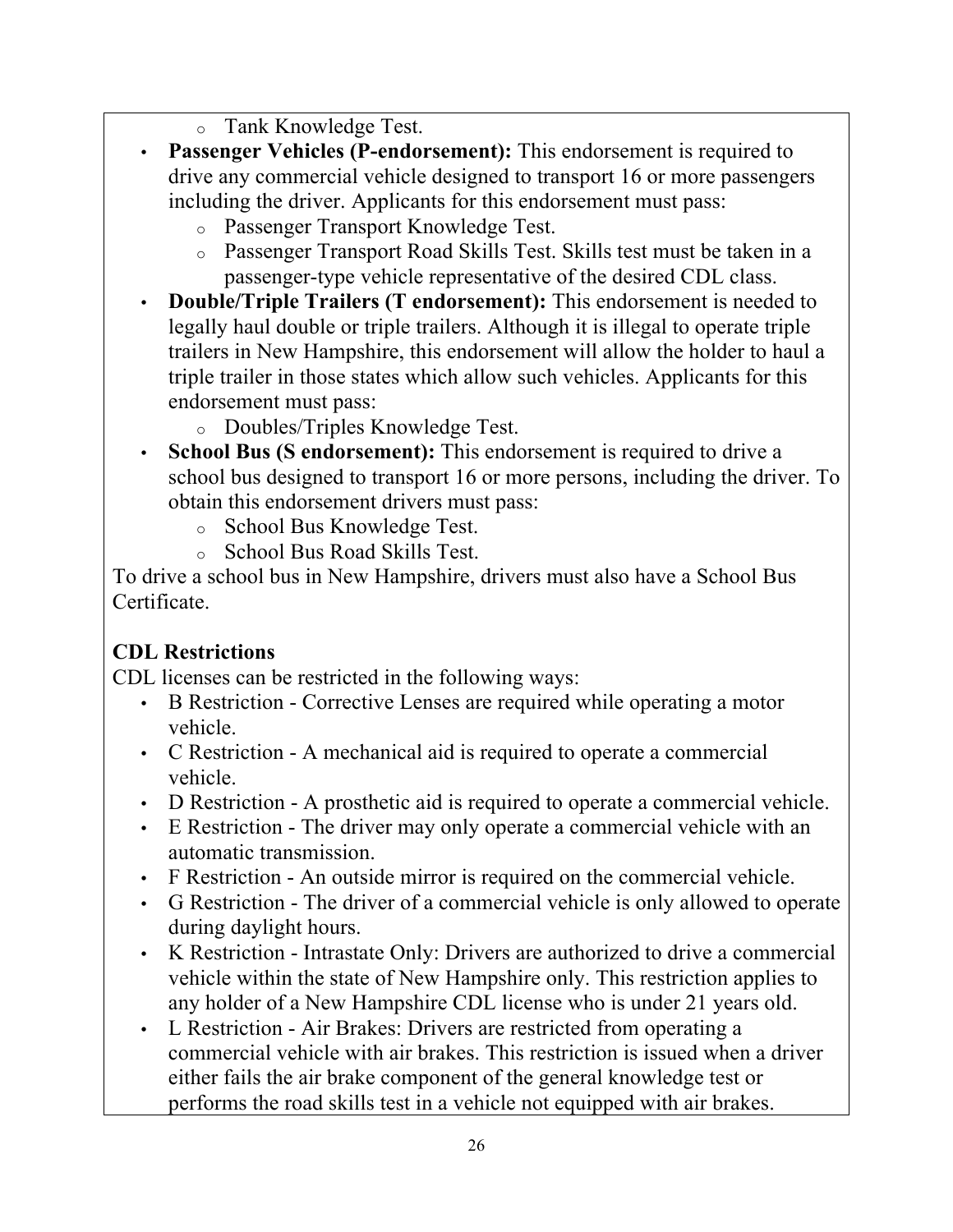- o Tank Knowledge Test.
- **Passenger Vehicles (P-endorsement):** This endorsement is required to drive any commercial vehicle designed to transport 16 or more passengers including the driver. Applicants for this endorsement must pass:
	- o Passenger Transport Knowledge Test.
	- o Passenger Transport Road Skills Test. Skills test must be taken in a passenger-type vehicle representative of the desired CDL class.
- **Double/Triple Trailers (T endorsement):** This endorsement is needed to legally haul double or triple trailers. Although it is illegal to operate triple trailers in New Hampshire, this endorsement will allow the holder to haul a triple trailer in those states which allow such vehicles. Applicants for this endorsement must pass:
	- o Doubles/Triples Knowledge Test.
- **School Bus (S endorsement):** This endorsement is required to drive a school bus designed to transport 16 or more persons, including the driver. To obtain this endorsement drivers must pass:
	- o School Bus Knowledge Test.
	- o School Bus Road Skills Test.

To drive a school bus in New Hampshire, drivers must also have a School Bus Certificate.

# **CDL Restrictions**

CDL licenses can be restricted in the following ways:

- B Restriction Corrective Lenses are required while operating a motor vehicle.
- C Restriction A mechanical aid is required to operate a commercial vehicle.
- D Restriction A prosthetic aid is required to operate a commercial vehicle.
- E Restriction The driver may only operate a commercial vehicle with an automatic transmission.
- F Restriction An outside mirror is required on the commercial vehicle.
- G Restriction The driver of a commercial vehicle is only allowed to operate during daylight hours.
- K Restriction Intrastate Only: Drivers are authorized to drive a commercial vehicle within the state of New Hampshire only. This restriction applies to any holder of a New Hampshire CDL license who is under 21 years old.
- L Restriction Air Brakes: Drivers are restricted from operating a commercial vehicle with air brakes. This restriction is issued when a driver either fails the air brake component of the general knowledge test or performs the road skills test in a vehicle not equipped with air brakes.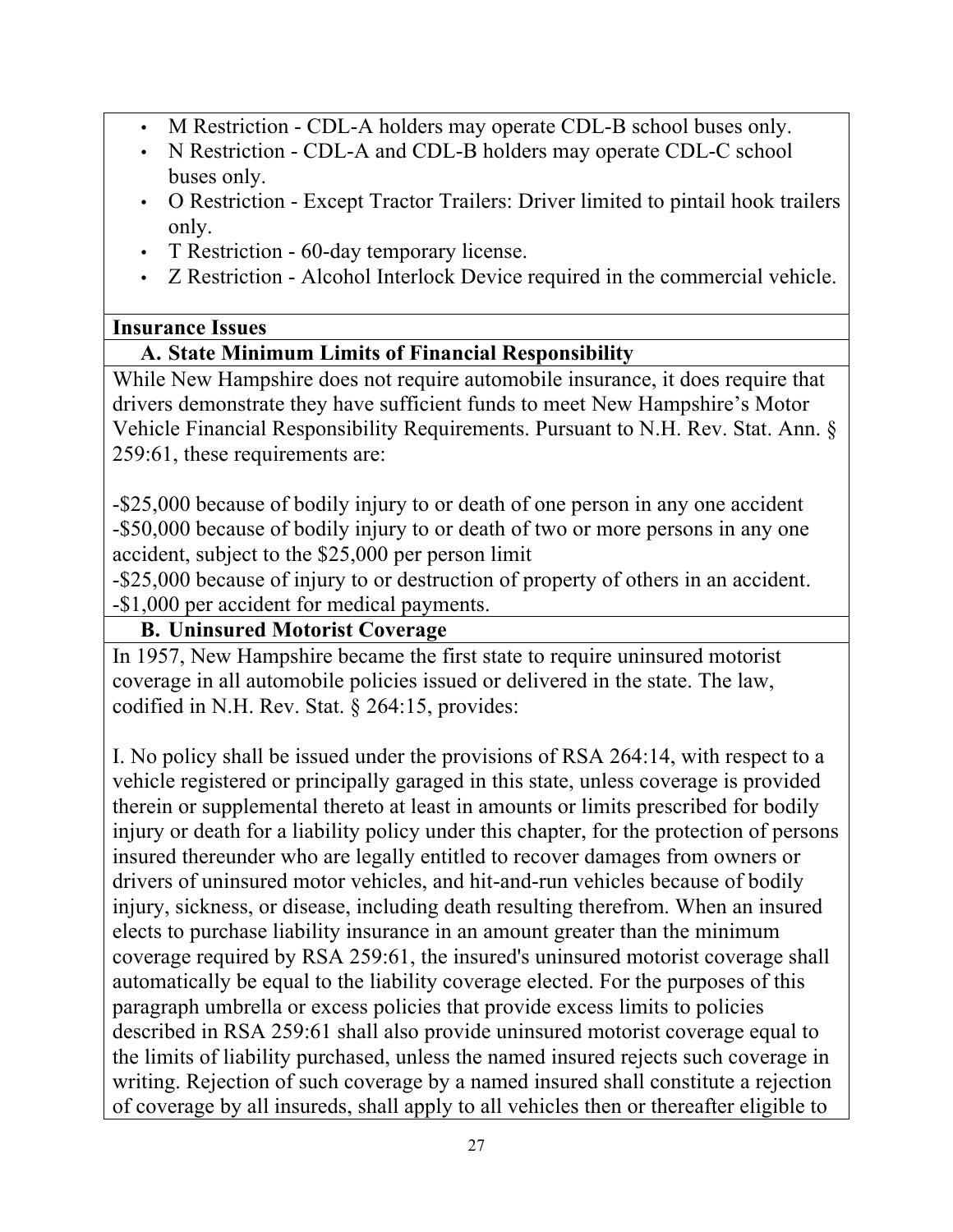- M Restriction CDL-A holders may operate CDL-B school buses only.
- N Restriction CDL-A and CDL-B holders may operate CDL-C school buses only.
- O Restriction Except Tractor Trailers: Driver limited to pintail hook trailers only.
- T Restriction 60-day temporary license.
- Z Restriction Alcohol Interlock Device required in the commercial vehicle.

### **Insurance Issues**

### **A. State Minimum Limits of Financial Responsibility**

While New Hampshire does not require automobile insurance, it does require that drivers demonstrate they have sufficient funds to meet New Hampshire's Motor Vehicle Financial Responsibility Requirements. Pursuant to N.H. Rev. Stat. Ann. § 259:61, these requirements are:

-\$25,000 because of bodily injury to or death of one person in any one accident -\$50,000 because of bodily injury to or death of two or more persons in any one accident, subject to the \$25,000 per person limit

-\$25,000 because of injury to or destruction of property of others in an accident. -\$1,000 per accident for medical payments.

## **B. Uninsured Motorist Coverage**

In 1957, New Hampshire became the first state to require uninsured motorist coverage in all automobile policies issued or delivered in the state. The law, codified in N.H. Rev. Stat. § 264:15, provides:

I. No policy shall be issued under the provisions of RSA 264:14, with respect to a vehicle registered or principally garaged in this state, unless coverage is provided therein or supplemental thereto at least in amounts or limits prescribed for bodily injury or death for a liability policy under this chapter, for the protection of persons insured thereunder who are legally entitled to recover damages from owners or drivers of uninsured motor vehicles, and hit-and-run vehicles because of bodily injury, sickness, or disease, including death resulting therefrom. When an insured elects to purchase liability insurance in an amount greater than the minimum coverage required by RSA 259:61, the insured's uninsured motorist coverage shall automatically be equal to the liability coverage elected. For the purposes of this paragraph umbrella or excess policies that provide excess limits to policies described in RSA 259:61 shall also provide uninsured motorist coverage equal to the limits of liability purchased, unless the named insured rejects such coverage in writing. Rejection of such coverage by a named insured shall constitute a rejection of coverage by all insureds, shall apply to all vehicles then or thereafter eligible to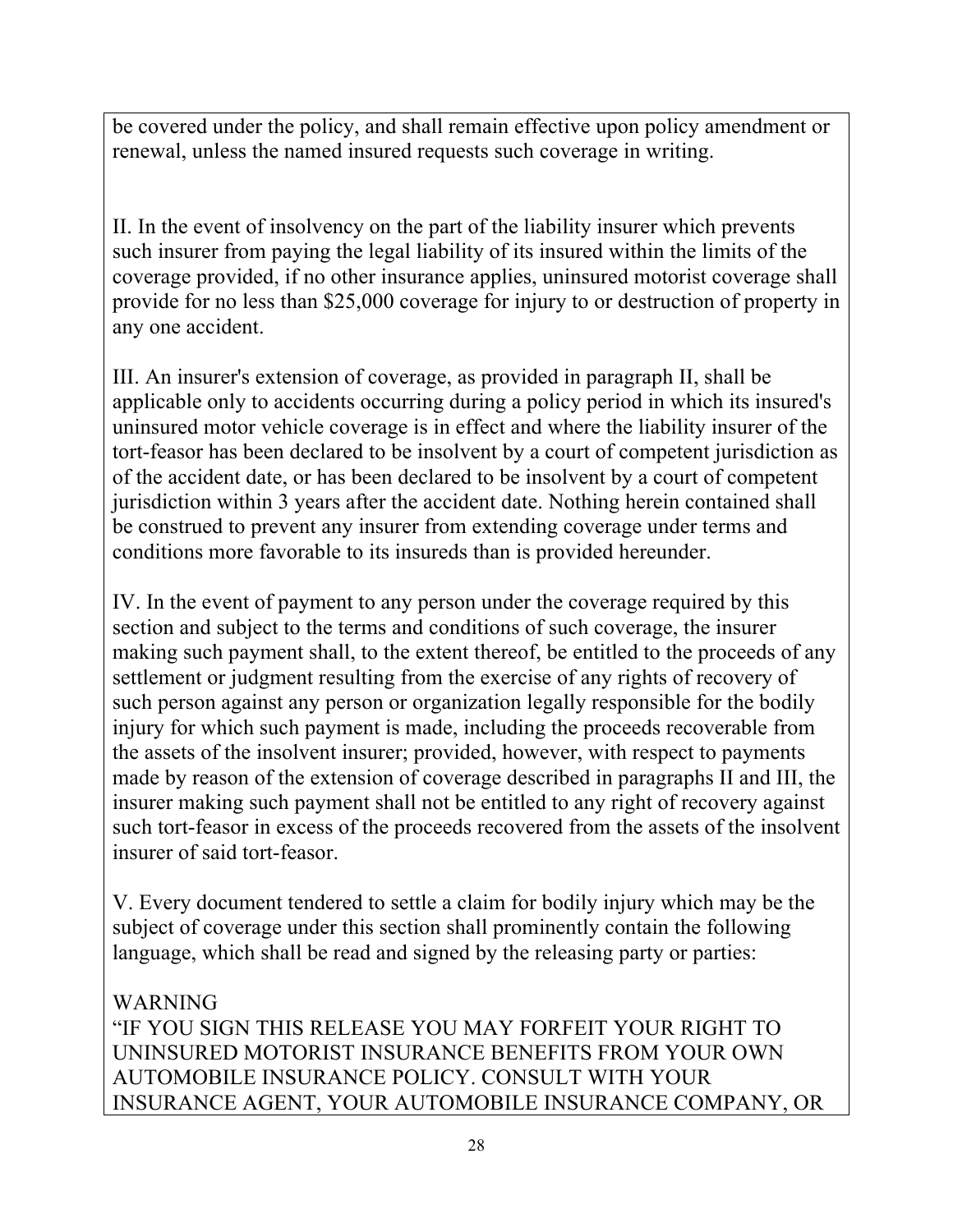be covered under the policy, and shall remain effective upon policy amendment or renewal, unless the named insured requests such coverage in writing.

II. In the event of insolvency on the part of the liability insurer which prevents such insurer from paying the legal liability of its insured within the limits of the coverage provided, if no other insurance applies, uninsured motorist coverage shall provide for no less than \$25,000 coverage for injury to or destruction of property in any one accident.

III. An insurer's extension of coverage, as provided in paragraph II, shall be applicable only to accidents occurring during a policy period in which its insured's uninsured motor vehicle coverage is in effect and where the liability insurer of the tort-feasor has been declared to be insolvent by a court of competent jurisdiction as of the accident date, or has been declared to be insolvent by a court of competent jurisdiction within 3 years after the accident date. Nothing herein contained shall be construed to prevent any insurer from extending coverage under terms and conditions more favorable to its insureds than is provided hereunder.

IV. In the event of payment to any person under the coverage required by this section and subject to the terms and conditions of such coverage, the insurer making such payment shall, to the extent thereof, be entitled to the proceeds of any settlement or judgment resulting from the exercise of any rights of recovery of such person against any person or organization legally responsible for the bodily injury for which such payment is made, including the proceeds recoverable from the assets of the insolvent insurer; provided, however, with respect to payments made by reason of the extension of coverage described in paragraphs II and III, the insurer making such payment shall not be entitled to any right of recovery against such tort-feasor in excess of the proceeds recovered from the assets of the insolvent insurer of said tort-feasor.

V. Every document tendered to settle a claim for bodily injury which may be the subject of coverage under this section shall prominently contain the following language, which shall be read and signed by the releasing party or parties:

#### WARNING "IF YOU SIGN THIS RELEASE YOU MAY FORFEIT YOUR RIGHT TO UNINSURED MOTORIST INSURANCE BENEFITS FROM YOUR OWN AUTOMOBILE INSURANCE POLICY. CONSULT WITH YOUR INSURANCE AGENT, YOUR AUTOMOBILE INSURANCE COMPANY, OR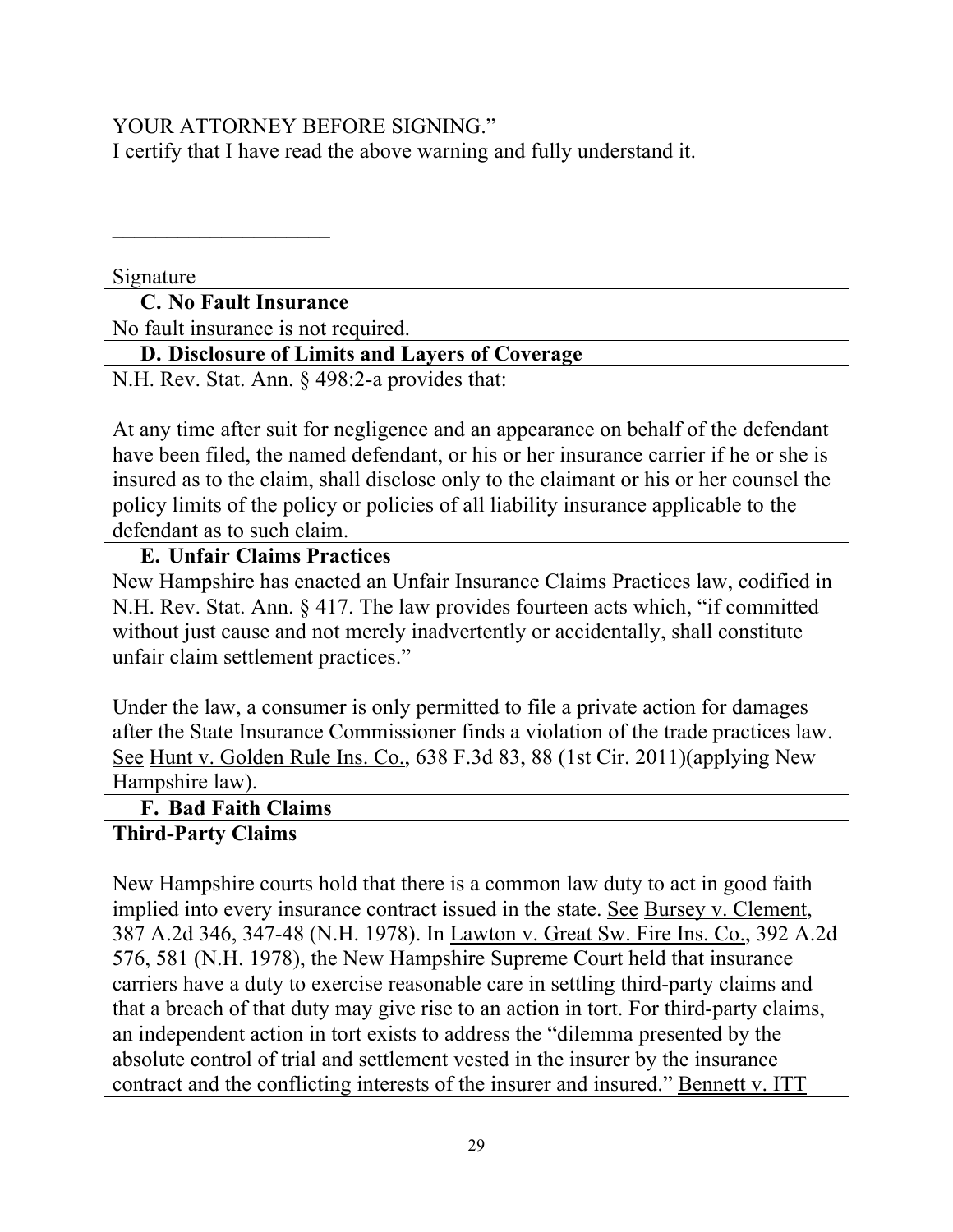YOUR ATTORNEY BEFORE SIGNING." I certify that I have read the above warning and fully understand it.

Signature

**C. No Fault Insurance** 

 $\overline{\phantom{a}}$  , where  $\overline{\phantom{a}}$ 

No fault insurance is not required.

#### **D. Disclosure of Limits and Layers of Coverage**

N.H. Rev. Stat. Ann. § 498:2-a provides that:

At any time after suit for negligence and an appearance on behalf of the defendant have been filed, the named defendant, or his or her insurance carrier if he or she is insured as to the claim, shall disclose only to the claimant or his or her counsel the policy limits of the policy or policies of all liability insurance applicable to the defendant as to such claim.

#### **E. Unfair Claims Practices**

New Hampshire has enacted an Unfair Insurance Claims Practices law, codified in N.H. Rev. Stat. Ann. § 417. The law provides fourteen acts which, "if committed without just cause and not merely inadvertently or accidentally, shall constitute unfair claim settlement practices."

Under the law, a consumer is only permitted to file a private action for damages after the State Insurance Commissioner finds a violation of the trade practices law. See Hunt v. Golden Rule Ins. Co., 638 F.3d 83, 88 (1st Cir. 2011)(applying New Hampshire law).

**F. Bad Faith Claims** 

### **Third-Party Claims**

New Hampshire courts hold that there is a common law duty to act in good faith implied into every insurance contract issued in the state. See Bursey v. Clement, 387 A.2d 346, 347-48 (N.H. 1978). In Lawton v. Great Sw. Fire Ins. Co., 392 A.2d 576, 581 (N.H. 1978), the New Hampshire Supreme Court held that insurance carriers have a duty to exercise reasonable care in settling third-party claims and that a breach of that duty may give rise to an action in tort. For third-party claims, an independent action in tort exists to address the "dilemma presented by the absolute control of trial and settlement vested in the insurer by the insurance contract and the conflicting interests of the insurer and insured." Bennett v. ITT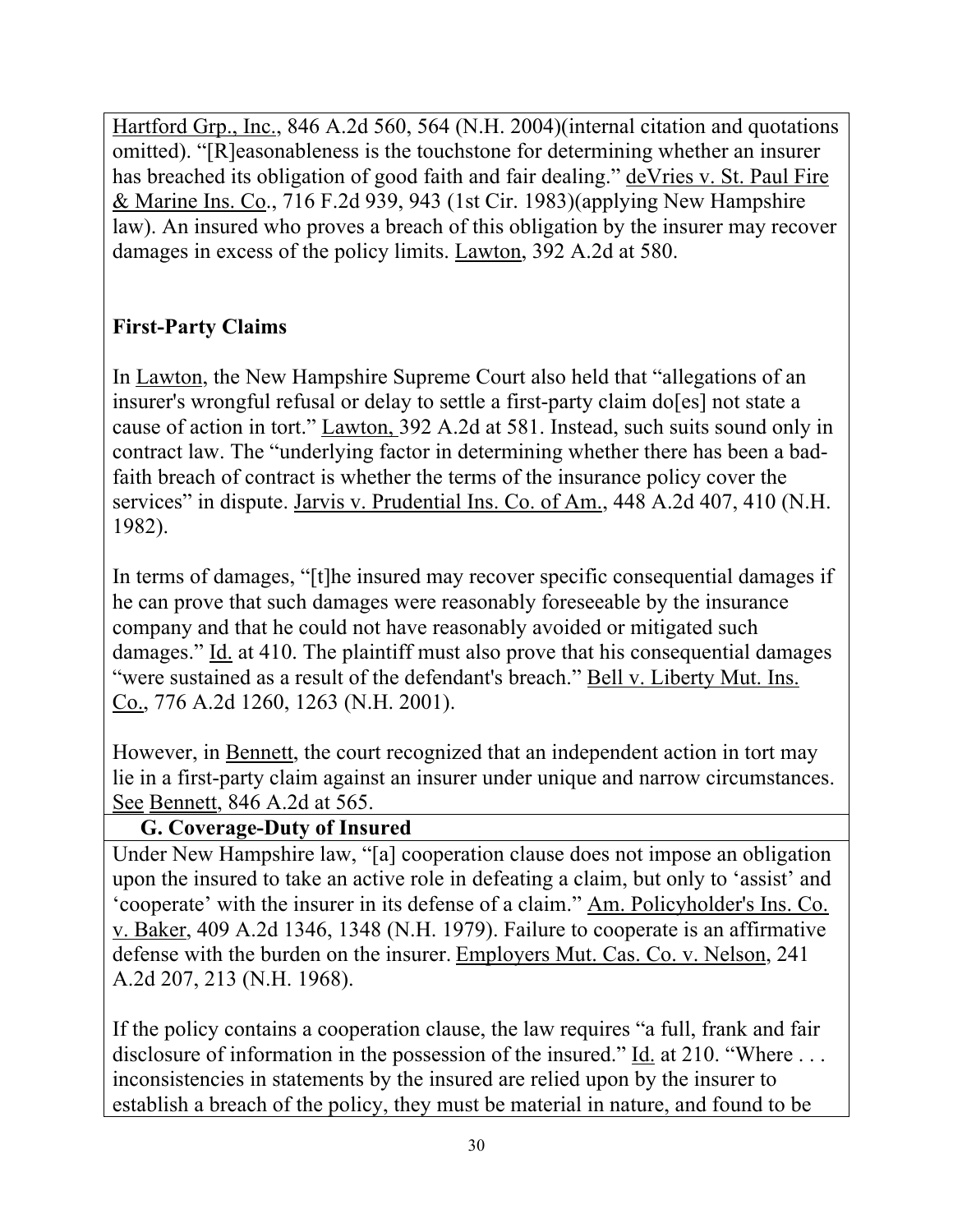Hartford Grp., Inc., 846 A.2d 560, 564 (N.H. 2004)(internal citation and quotations omitted). "[R]easonableness is the touchstone for determining whether an insurer has breached its obligation of good faith and fair dealing." deVries v. St. Paul Fire & Marine Ins. Co., 716 F.2d 939, 943 (1st Cir. 1983)(applying New Hampshire law). An insured who proves a breach of this obligation by the insurer may recover damages in excess of the policy limits. Lawton, 392 A.2d at 580.

# **First-Party Claims**

In Lawton, the New Hampshire Supreme Court also held that "allegations of an insurer's wrongful refusal or delay to settle a first-party claim do[es] not state a cause of action in tort." Lawton, 392 A.2d at 581. Instead, such suits sound only in contract law. The "underlying factor in determining whether there has been a badfaith breach of contract is whether the terms of the insurance policy cover the services" in dispute. Jarvis v. Prudential Ins. Co. of Am., 448 A.2d 407, 410 (N.H. 1982).

In terms of damages, "[t]he insured may recover specific consequential damages if he can prove that such damages were reasonably foreseeable by the insurance company and that he could not have reasonably avoided or mitigated such damages." Id. at 410. The plaintiff must also prove that his consequential damages "were sustained as a result of the defendant's breach." Bell v. Liberty Mut. Ins. Co., 776 A.2d 1260, 1263 (N.H. 2001).

However, in Bennett, the court recognized that an independent action in tort may lie in a first-party claim against an insurer under unique and narrow circumstances. See Bennett, 846 A.2d at 565.

# **G. Coverage-Duty of Insured**

Under New Hampshire law, "[a] cooperation clause does not impose an obligation upon the insured to take an active role in defeating a claim, but only to 'assist' and 'cooperate' with the insurer in its defense of a claim." Am. Policyholder's Ins. Co. v. Baker, 409 A.2d 1346, 1348 (N.H. 1979). Failure to cooperate is an affirmative defense with the burden on the insurer. Employers Mut. Cas. Co. v. Nelson, 241 A.2d 207, 213 (N.H. 1968).

If the policy contains a cooperation clause, the law requires "a full, frank and fair disclosure of information in the possession of the insured." Id. at 210. "Where ... inconsistencies in statements by the insured are relied upon by the insurer to establish a breach of the policy, they must be material in nature, and found to be